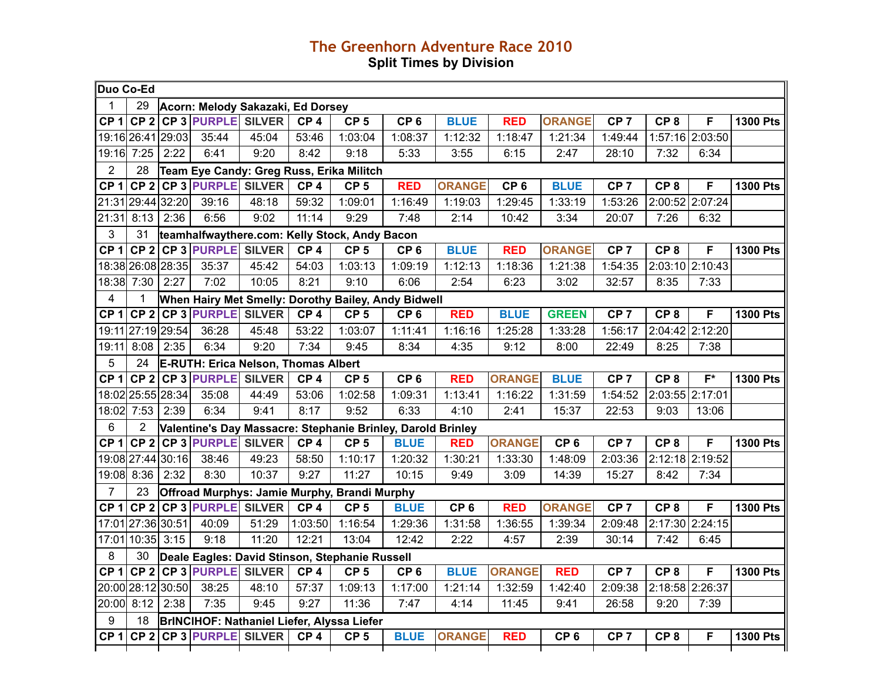## **The Greenhorn Adventure Race 2010 Split Times by Division**

| Duo Co-Ed       |                   |      |                                            |       |                 |                                                             |                 |                 |                 |                 |                 |                 |                  |                 |
|-----------------|-------------------|------|--------------------------------------------|-------|-----------------|-------------------------------------------------------------|-----------------|-----------------|-----------------|-----------------|-----------------|-----------------|------------------|-----------------|
| 1               | 29                |      | Acorn: Melody Sakazaki, Ed Dorsey          |       |                 |                                                             |                 |                 |                 |                 |                 |                 |                  |                 |
| CP <sub>1</sub> |                   |      | CP 2 CP 3 PURPLE SILVER                    |       | CP <sub>4</sub> | CP <sub>5</sub>                                             | CP <sub>6</sub> | <b>BLUE</b>     | <b>RED</b>      | <b>ORANGE</b>   | CP <sub>7</sub> | CP <sub>8</sub> | F                | <b>1300 Pts</b> |
|                 | 19:16 26:41 29:03 |      | 35:44                                      | 45:04 | 53:46           | 1:03:04                                                     | 1:08:37         | 1:12:32         | 1:18:47         | 1:21:34         | 1:49:44         |                 | 1:57:16 2:03:50  |                 |
|                 | 19:16 7:25        | 2:22 | 6:41                                       | 9:20  | 8:42            | 9:18                                                        | 5:33            | 3:55            | 6:15            | 2:47            | 28:10           | 7:32            | 6:34             |                 |
| $\overline{2}$  | 28                |      |                                            |       |                 | Team Eye Candy: Greg Russ, Erika Militch                    |                 |                 |                 |                 |                 |                 |                  |                 |
| CP <sub>1</sub> | CP <sub>2</sub>   |      | <b>CP 3 PURPLE SILVER</b>                  |       | CP <sub>4</sub> | CP <sub>5</sub>                                             | <b>RED</b>      | <b>ORANGE</b>   | CP <sub>6</sub> | <b>BLUE</b>     | CP <sub>7</sub> | CP <sub>8</sub> | F                | <b>1300 Pts</b> |
|                 | 21:31 29:44 32:20 |      | 39:16                                      | 48:18 | 59:32           | 1:09:01                                                     | 1:16:49         | 1:19:03         | 1:29:45         | 1:33:19         | 1:53:26         | 2:00:52         | 2:07:24          |                 |
| 21:31           | 8:13              | 2:36 | 6:56                                       | 9:02  | 11:14           | 9:29                                                        | 7:48            | 2:14            | 10:42           | 3:34            | 20:07           | 7:26            | 6:32             |                 |
| 3               | 31                |      |                                            |       |                 | teamhalfwaythere.com: Kelly Stock, Andy Bacon               |                 |                 |                 |                 |                 |                 |                  |                 |
| CP <sub>1</sub> | CP <sub>2</sub>   |      | <b>CP 3 PURPLE SILVER</b>                  |       | CP <sub>4</sub> | CP <sub>5</sub>                                             | CP <sub>6</sub> | <b>BLUE</b>     | <b>RED</b>      | <b>ORANGE</b>   | CP <sub>7</sub> | CP <sub>8</sub> | F                | <b>1300 Pts</b> |
|                 | 18:38 26:08 28:35 |      | 35:37                                      | 45:42 | 54:03           | 1:03:13                                                     | 1:09:19         | 1:12:13         | 1:18:36         | 1:21:38         | 1:54:35         |                 | 2:03:10 2:10:43  |                 |
|                 | 18:38 7:30        | 2:27 | 7:02                                       | 10:05 | 8:21            | 9:10                                                        | 6:06            | 2:54            | 6:23            | 3:02            | 32:57           | 8:35            | 7:33             |                 |
| 4               | 1                 |      |                                            |       |                 | When Hairy Met Smelly: Dorothy Bailey, Andy Bidwell         |                 |                 |                 |                 |                 |                 |                  |                 |
| CP <sub>1</sub> |                   |      | CP 2 CP 3 PURPLE SILVER                    |       | CP <sub>4</sub> | CP <sub>5</sub>                                             | CP <sub>6</sub> | <b>RED</b>      | <b>BLUE</b>     | <b>GREEN</b>    | CP <sub>7</sub> | CP <sub>8</sub> | F                | <b>1300 Pts</b> |
|                 | 19:11 27:19 29:54 |      | 36:28                                      | 45:48 | 53:22           | 1:03:07                                                     | 1:11:41         | 1:16:16         | 1:25:28         | 1:33:28         | 1:56:17         | 2:04:42         | 2:12:20          |                 |
| 19:11           | 8:08              | 2:35 | 6:34                                       | 9:20  | 7:34            | 9:45                                                        | 8:34            | 4:35            | 9:12            | 8:00            | 22:49           | 8:25            | 7:38             |                 |
| 5               | 24                |      | <b>E-RUTH: Erica Nelson, Thomas Albert</b> |       |                 |                                                             |                 |                 |                 |                 |                 |                 |                  |                 |
| CP <sub>1</sub> |                   |      | CP 2 CP 3 PURPLE SILVER                    |       | CP <sub>4</sub> | CP <sub>5</sub>                                             | CP <sub>6</sub> | <b>RED</b>      | <b>ORANGE</b>   | <b>BLUE</b>     | CP <sub>7</sub> | CP <sub>8</sub> | $\overline{F^*}$ | <b>1300 Pts</b> |
|                 | 18:02 25:55 28:34 |      | 35:08                                      | 44:49 | 53:06           | 1:02:58                                                     | 1:09:31         | 1:13:41         | 1:16:22         | 1:31:59         | 1:54:52         | 2:03:55 2:17:01 |                  |                 |
| 18:02           | 7:53              | 2:39 | 6:34                                       | 9:41  | 8:17            | 9:52                                                        | 6:33            | 4:10            | 2:41            | 15:37           | 22:53           | 9:03            | 13:06            |                 |
| 6               | $\overline{2}$    |      |                                            |       |                 | Valentine's Day Massacre: Stephanie Brinley, Darold Brinley |                 |                 |                 |                 |                 |                 |                  |                 |
| CP <sub>1</sub> |                   |      | CP 2 CP 3 PURPLE SILVER                    |       | CP <sub>4</sub> | CP <sub>5</sub>                                             | <b>BLUE</b>     | <b>RED</b>      | <b>ORANGE</b>   | CP <sub>6</sub> | CP <sub>7</sub> | CP <sub>8</sub> | F                | <b>1300 Pts</b> |
|                 | 19:08 27:44 30:16 |      | 38:46                                      | 49:23 | 58:50           | 1:10:17                                                     | 1:20:32         | 1:30:21         | 1:33:30         | 1:48:09         | 2:03:36         | 2:12:18 2:19:52 |                  |                 |
|                 | 19:08 8:36        | 2:32 | 8:30                                       | 10:37 | 9:27            | 11:27                                                       | 10:15           | 9:49            | 3:09            | 14:39           | 15:27           | 8:42            | 7:34             |                 |
| $\overline{7}$  | 23                |      |                                            |       |                 | Offroad Murphys: Jamie Murphy, Brandi Murphy                |                 |                 |                 |                 |                 |                 |                  |                 |
| CP <sub>1</sub> |                   |      | CP 2 CP 3 PURPLE SILVER                    |       | CP <sub>4</sub> | CP <sub>5</sub>                                             | <b>BLUE</b>     | CP <sub>6</sub> | <b>RED</b>      | <b>ORANGE</b>   | CP <sub>7</sub> | CP <sub>8</sub> | F                | <b>1300 Pts</b> |
|                 | 17:01 27:36 30:51 |      | 40:09                                      | 51:29 | 1:03:50         | 1:16:54                                                     | 1:29:36         | 1:31:58         | 1:36:55         | 1:39:34         | 2:09:48         |                 | 2:17:30 2:24:15  |                 |
|                 | 17:01 10:35 3:15  |      | 9:18                                       | 11:20 | 12:21           | 13:04                                                       | 12:42           | 2:22            | 4:57            | 2:39            | 30:14           | 7:42            | 6:45             |                 |
| 8               | 30                |      |                                            |       |                 | Deale Eagles: David Stinson, Stephanie Russell              |                 |                 |                 |                 |                 |                 |                  |                 |
| CP <sub>1</sub> |                   |      | CP 2 CP 3 PURPLE SILVER                    |       | CP <sub>4</sub> | CP <sub>5</sub>                                             | CP <sub>6</sub> | <b>BLUE</b>     | <b>ORANGE</b>   | <b>RED</b>      | CP <sub>7</sub> | CP <sub>8</sub> | F                | <b>1300 Pts</b> |
|                 | 20:00 28:12 30:50 |      | 38:25                                      | 48:10 | 57:37           | 1:09:13                                                     | 1:17:00         | 1:21:14         | 1:32:59         | 1:42:40         | 2:09:38         |                 | 2:18:58 2:26:37  |                 |
|                 | 20:00 8:12 2:38   |      | 7:35                                       | 9:45  | 9:27            | 11:36                                                       | 7:47            | 4:14            | 11:45           | 9:41            | 26:58           | 9:20            | 7:39             |                 |
| 9               | 18                |      |                                            |       |                 | BrINCIHOF: Nathaniel Liefer, Alyssa Liefer                  |                 |                 |                 |                 |                 |                 |                  |                 |
| CP <sub>1</sub> | CP <sub>2</sub>   |      | <b>CP 3 PURPLE SILVER</b>                  |       | CP <sub>4</sub> | CP <sub>5</sub>                                             | <b>BLUE</b>     | <b>ORANGE</b>   | <b>RED</b>      | CP <sub>6</sub> | CP <sub>7</sub> | CP <sub>8</sub> | F                | <b>1300 Pts</b> |
|                 |                   |      |                                            |       |                 |                                                             |                 |                 |                 |                 |                 |                 |                  |                 |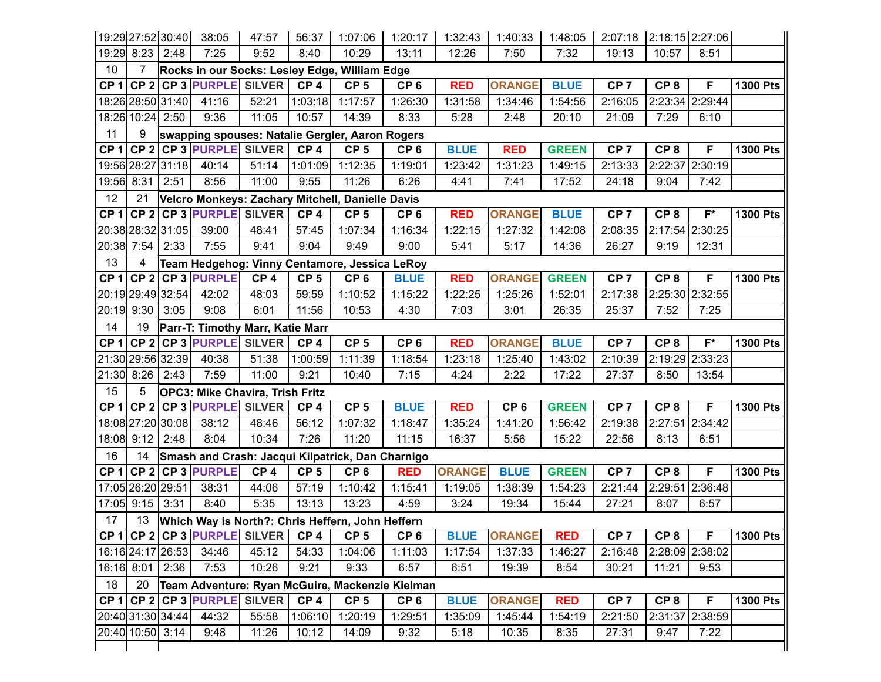|                 | 19:29 27:52 30:40 |      | 38:05                                            | 47:57           | 56:37           | 1:07:06                                          | 1:20:17         | 1:32:43       | 1:40:33         | 1:48:05      | 2:07:18 2:18:15 2:27:06 |                 |                 |                 |
|-----------------|-------------------|------|--------------------------------------------------|-----------------|-----------------|--------------------------------------------------|-----------------|---------------|-----------------|--------------|-------------------------|-----------------|-----------------|-----------------|
|                 | 19:29 8:23 2:48   |      | 7:25                                             | 9:52            | 8:40            | 10:29                                            | 13:11           | 12:26         | 7:50            | 7:32         | 19:13                   | 10:57           | 8:51            |                 |
| 10              | $\overline{7}$    |      |                                                  |                 |                 | Rocks in our Socks: Lesley Edge, William Edge    |                 |               |                 |              |                         |                 |                 |                 |
|                 |                   |      | CP 1 CP 2 CP 3 PURPLE SILVER                     |                 | CP <sub>4</sub> | CP <sub>5</sub>                                  | CP <sub>6</sub> | <b>RED</b>    | <b>ORANGE</b>   | <b>BLUE</b>  | CP <sub>7</sub>         | CP <sub>8</sub> | F               | <b>1300 Pts</b> |
|                 | 18:26 28:50 31:40 |      | 41:16                                            | 52:21           | 1:03:18         | 1:17:57                                          | 1:26:30         | 1:31:58       | 1:34:46         | 1:54:56      | 2:16:05                 | 2:23:34         | 2:29:44         |                 |
|                 | 18:26 10:24 2:50  |      | 9:36                                             | 11:05           | 10:57           | 14:39                                            | 8:33            | 5:28          | 2:48            | 20:10        | 21:09                   | 7:29            | 6:10            |                 |
| 11              | 9                 |      |                                                  |                 |                 | swapping spouses: Natalie Gergler, Aaron Rogers  |                 |               |                 |              |                         |                 |                 |                 |
| CP <sub>1</sub> |                   |      | CP 2 CP 3 PURPLE SILVER                          |                 | CP <sub>4</sub> | CP <sub>5</sub>                                  | CP <sub>6</sub> | <b>BLUE</b>   | <b>RED</b>      | <b>GREEN</b> | CP <sub>7</sub>         | CP <sub>8</sub> | F               | <b>1300 Pts</b> |
|                 | 19:56 28:27 31:18 |      | 40:14                                            | 51:14           | 1:01:09         | 1:12:35                                          | 1:19:01         | 1:23:42       | 1:31:23         | 1:49:15      | 2:13:33                 | 2:22:37         | 2:30:19         |                 |
| 19:56 8:31      |                   | 2:51 | 8:56                                             | 11:00           | 9:55            | 11:26                                            | 6:26            | 4:41          | 7:41            | 17:52        | 24:18                   | 9:04            | 7:42            |                 |
| 12              | 21                |      |                                                  |                 |                 | Velcro Monkeys: Zachary Mitchell, Danielle Davis |                 |               |                 |              |                         |                 |                 |                 |
| CP <sub>1</sub> |                   |      | CP 2 CP 3 PURPLE SILVER                          |                 | CP <sub>4</sub> | CP <sub>5</sub>                                  | CP <sub>6</sub> | <b>RED</b>    | <b>ORANGE</b>   | <b>BLUE</b>  | CP <sub>7</sub>         | CP <sub>8</sub> | $F^*$           | <b>1300 Pts</b> |
|                 | 20:38 28:32 31:05 |      | 39:00                                            | 48:41           | 57:45           | 1:07:34                                          | 1:16:34         | 1:22:15       | 1:27:32         | 1:42:08      | 2:08:35                 | 2:17:54         | 2:30:25         |                 |
|                 | 20:38 7:54 2:33   |      | 7:55                                             | 9:41            | 9:04            | 9:49                                             | 9:00            | 5:41          | 5:17            | 14:36        | 26:27                   | 9:19            | 12:31           |                 |
| 13              | 4                 |      |                                                  |                 |                 | Team Hedgehog: Vinny Centamore, Jessica LeRoy    |                 |               |                 |              |                         |                 |                 |                 |
|                 |                   |      | CP 1 CP 2 CP 3 PURPLE                            | CP <sub>4</sub> | CP <sub>5</sub> | CP <sub>6</sub>                                  | <b>BLUE</b>     | <b>RED</b>    | <b>ORANGE</b>   | <b>GREEN</b> | CP <sub>7</sub>         | CP <sub>8</sub> | F               | <b>1300 Pts</b> |
|                 | 20:19 29:49 32:54 |      | 42:02                                            | 48:03           | 59:59           | 1:10:52                                          | 1:15:22         | 1:22:25       | 1:25:26         | 1:52:01      | 2:17:38                 |                 | 2:25:30 2:32:55 |                 |
|                 | 20:19 9:30 3:05   |      | 9:08                                             | 6:01            | 11:56           | 10:53                                            | 4:30            | 7:03          | 3:01            | 26:35        | 25:37                   | 7:52            | 7:25            |                 |
| 14              | 19                |      | Parr-T: Timothy Marr, Katie Marr                 |                 |                 |                                                  |                 |               |                 |              |                         |                 |                 |                 |
| CP <sub>1</sub> |                   |      | CP 2 CP 3 PURPLE SILVER                          |                 | CP <sub>4</sub> | CP <sub>5</sub>                                  | CP <sub>6</sub> | <b>RED</b>    | <b>ORANGE</b>   | <b>BLUE</b>  | CP <sub>7</sub>         | CP <sub>8</sub> | $F^*$           | <b>1300 Pts</b> |
|                 | 21:30 29:56 32:39 |      | 40:38                                            | 51:38           | 1:00:59         | 1:11:39                                          | 1:18:54         | 1:23:18       | 1:25:40         | 1:43:02      | 2:10:39                 | 2:19:29         | 2:33:23         |                 |
|                 | 21:30 8:26 2:43   |      | 7:59                                             | 11:00           | 9:21            | 10:40                                            | 7:15            | 4:24          | 2:22            | 17:22        | 27:37                   | 8:50            | 13:54           |                 |
| 15              | 5                 |      | OPC3: Mike Chavira, Trish Fritz                  |                 |                 |                                                  |                 |               |                 |              |                         |                 |                 |                 |
|                 |                   |      | CP 1 CP 2 CP 3 PURPLE SILVER                     |                 | CP <sub>4</sub> | CP <sub>5</sub>                                  | <b>BLUE</b>     | <b>RED</b>    | CP <sub>6</sub> | <b>GREEN</b> | CP <sub>7</sub>         | CP <sub>8</sub> | F               | <b>1300 Pts</b> |
|                 | 18:08 27:20 30:08 |      | 38:12                                            | 48:46           | 56:12           | 1:07:32                                          | 1:18:47         | 1:35:24       | 1:41:20         | 1:56:42      | 2:19:38                 | 2:27:51         | 2:34:42         |                 |
| 18:08           | $9:12$ 2:48       |      | 8:04                                             | 10:34           | 7:26            | 11:20                                            | 11:15           | 16:37         | 5:56            | 15:22        | 22:56                   | 8:13            | 6:51            |                 |
| 16              | 14                |      |                                                  |                 |                 | Smash and Crash: Jacqui Kilpatrick, Dan Charnigo |                 |               |                 |              |                         |                 |                 |                 |
| CP <sub>1</sub> |                   |      | CP 2 CP 3 PURPLE                                 | CP <sub>4</sub> | CP <sub>5</sub> | CP <sub>6</sub>                                  | <b>RED</b>      | <b>ORANGE</b> | <b>BLUE</b>     | <b>GREEN</b> | CP <sub>7</sub>         | CP <sub>8</sub> | F               | <b>1300 Pts</b> |
|                 | 17:05 26:20 29:51 |      | 38:31                                            | 44:06           | 57:19           | 1:10:42                                          | 1:15:41         | 1:19:05       | 1:38:39         | 1:54:23      | 2:21:44                 |                 | 2:29:51 2:36:48 |                 |
|                 | 17:05 9:15 3:31   |      | 8:40                                             | 5:35            | 13:13           | 13:23                                            | 4:59            | 3:24          | 19:34           | 15:44        | 27:21                   | 8:07            | 6:57            |                 |
| 17              | 13                |      |                                                  |                 |                 | Which Way is North?: Chris Heffern, John Heffern |                 |               |                 |              |                         |                 |                 |                 |
|                 |                   |      | CP 1 CP 2 CP 3 PURPLE SILVER CP 4                |                 |                 | CP <sub>5</sub>                                  | CP <sub>6</sub> | <b>BLUE</b>   | <b>ORANGE</b>   | <b>RED</b>   | CP <sub>7</sub>         | CP 8            | F               | <b>1300 Pts</b> |
|                 | 16:16 24:17 26:53 |      | 34:46                                            | 45:12           | 54:33           | 1:04:06                                          | 1:11:03         | 1:17:54       | 1:37:33         | 1:46:27      | 2:16:48                 |                 | 2:28:09 2:38:02 |                 |
|                 | 16:16 8:01 2:36   |      | 7:53                                             | 10:26           | 9:21            | 9:33                                             | 6:57            | 6:51          | 19:39           | 8:54         | 30:21                   | 11:21           | 9:53            |                 |
| 18              | 20                |      |                                                  |                 |                 | Team Adventure: Ryan McGuire, Mackenzie Kielman  |                 |               |                 |              |                         |                 |                 |                 |
|                 |                   |      | CP 1 CP 2 CP 3 PURPLE SILVER $\overline{C}$ CP 4 |                 |                 | CP <sub>5</sub>                                  | CP <sub>6</sub> | <b>BLUE</b>   | <b>ORANGE</b>   | <b>RED</b>   | CP <sub>7</sub>         | CP <sub>8</sub> | F               | <b>1300 Pts</b> |
|                 | 20:40 31:30 34:44 |      | 44:32                                            | 55:58           | 1:06:10         | 1:20:19                                          | 1:29:51         | 1:35:09       | 1:45:44         | 1:54:19      | 2:21:50                 |                 | 2:31:37 2:38:59 |                 |
|                 | 20:40 10:50 3:14  |      | 9:48                                             | 11:26           | 10:12           | 14:09                                            | 9:32            | 5:18          | 10:35           | 8:35         | 27:31                   | 9:47            | 7:22            |                 |
|                 |                   |      |                                                  |                 |                 |                                                  |                 |               |                 |              |                         |                 |                 |                 |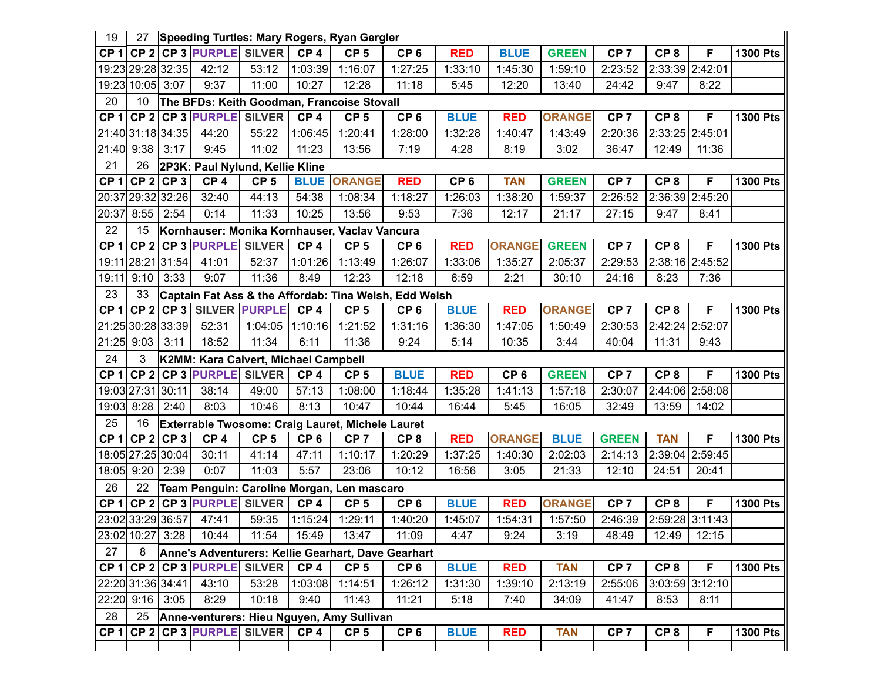| 19              | 27                 |             |                                      |                 |                 | Speeding Turtles: Mary Rogers, Ryan Gergler      |                                                       |                 |                 |               |                 |                 |                   |                 |
|-----------------|--------------------|-------------|--------------------------------------|-----------------|-----------------|--------------------------------------------------|-------------------------------------------------------|-----------------|-----------------|---------------|-----------------|-----------------|-------------------|-----------------|
| CP <sub>1</sub> |                    |             | CP 2 CP 3 PURPLE SILVER              |                 | CP <sub>4</sub> | CP <sub>5</sub>                                  | CP <sub>6</sub>                                       | <b>RED</b>      | <b>BLUE</b>     | <b>GREEN</b>  | CP <sub>7</sub> | CP <sub>8</sub> | F                 | <b>1300 Pts</b> |
|                 | 19:23 29:28 32:35  |             | 42:12                                | 53:12           | 1:03:39         | 1:16:07                                          | 1:27:25                                               | 1:33:10         | 1:45:30         | 1:59:10       | 2:23:52         | 2:33:39 2:42:01 |                   |                 |
|                 | 19:23 10:05 3:07   |             | 9:37                                 | 11:00           | 10:27           | 12:28                                            | 11:18                                                 | 5:45            | 12:20           | 13:40         | 24:42           | 9:47            | 8:22              |                 |
| 20              | 10                 |             |                                      |                 |                 | The BFDs: Keith Goodman, Francoise Stovall       |                                                       |                 |                 |               |                 |                 |                   |                 |
| CP <sub>1</sub> |                    |             | CP 2 CP 3 PURPLE SILVER              |                 | CP <sub>4</sub> | CP <sub>5</sub>                                  | CP <sub>6</sub>                                       | <b>BLUE</b>     | <b>RED</b>      | <b>ORANGE</b> | CP <sub>7</sub> | CP <sub>8</sub> | F                 | <b>1300 Pts</b> |
|                 | 21:40 31:18 34:35  |             | 44:20                                | 55:22           | 1:06:45         | 1:20:41                                          | 1:28:00                                               | 1:32:28         | 1:40:47         | 1:43:49       | 2:20:36         | 2:33:25 2:45:01 |                   |                 |
| 21:40           | $9:38$ 3:17        |             | 9:45                                 | 11:02           | 11:23           | 13:56                                            | 7:19                                                  | 4:28            | 8:19            | 3:02          | 36:47           | 12:49           | 11:36             |                 |
| 21              | 26                 |             | 2P3K: Paul Nylund, Kellie Kline      |                 |                 |                                                  |                                                       |                 |                 |               |                 |                 |                   |                 |
| CP <sub>1</sub> |                    | $CP 2$ CP 3 | CP <sub>4</sub>                      | CP <sub>5</sub> |                 | <b>BLUE ORANGE</b>                               | <b>RED</b>                                            | CP <sub>6</sub> | <b>TAN</b>      | <b>GREEN</b>  | CP <sub>7</sub> | CP <sub>8</sub> | F                 | <b>1300 Pts</b> |
|                 | 20:37 29:32 32:26  |             | 32:40                                | 44:13           | 54:38           | 1:08:34                                          | 1:18:27                                               | 1:26:03         | 1:38:20         | 1:59:37       | 2:26:52         | 2:36:39 2:45:20 |                   |                 |
| 20:37           | $8:55$ 2:54        |             | 0:14                                 | 11:33           | 10:25           | 13:56                                            | 9:53                                                  | 7:36            | 12:17           | 21:17         | 27:15           | 9:47            | 8:41              |                 |
| 22              | 15                 |             |                                      |                 |                 | Kornhauser: Monika Kornhauser, Vaclav Vancura    |                                                       |                 |                 |               |                 |                 |                   |                 |
| CP <sub>1</sub> |                    |             | CP 2 CP 3 PURPLE SILVER              |                 | CP <sub>4</sub> | CP <sub>5</sub>                                  | CP <sub>6</sub>                                       | <b>RED</b>      | <b>ORANGE</b>   | <b>GREEN</b>  | CP <sub>7</sub> | CP <sub>8</sub> | F                 | <b>1300 Pts</b> |
|                 | 19:11 28:21 31:54  |             | 41:01                                | 52:37           | 1:01:26         | 1:13:49                                          | 1:26:07                                               | 1:33:06         | 1:35:27         | 2:05:37       | 2:29:53         | 2:38:16 2:45:52 |                   |                 |
| 19:11           | 9:10               | 3:33        | 9:07                                 | 11:36           | 8:49            | 12:23                                            | 12:18                                                 | 6:59            | 2:21            | 30:10         | 24:16           | 8:23            | 7:36              |                 |
| 23              | 33                 |             |                                      |                 |                 |                                                  | Captain Fat Ass & the Affordab: Tina Welsh, Edd Welsh |                 |                 |               |                 |                 |                   |                 |
| CP <sub>1</sub> |                    |             | CP 2 CP 3 SILVER PURPLE              |                 | CP <sub>4</sub> | CP <sub>5</sub>                                  | CP <sub>6</sub>                                       | <b>BLUE</b>     | <b>RED</b>      | <b>ORANGE</b> | CP <sub>7</sub> | CP <sub>8</sub> | F                 | <b>1300 Pts</b> |
|                 | 21:25 30:28 33:39  |             | 52:31                                | 1:04:05         | 1:10:16         | 1:21:52                                          | 1:31:16                                               | 1:36:30         | 1:47:05         | 1:50:49       | 2:30:53         | 2:42:24 2:52:07 |                   |                 |
|                 | 21:25 9:03         | 3:11        | 18:52                                | 11:34           | 6:11            | 11:36                                            | 9:24                                                  | 5:14            | 10:35           | 3:44          | 40:04           | 11:31           | 9:43              |                 |
| 24              | 3                  |             | K2MM: Kara Calvert, Michael Campbell |                 |                 |                                                  |                                                       |                 |                 |               |                 |                 |                   |                 |
| CP <sub>1</sub> |                    |             | $CP$ 2 CP 3 PURPLE SILVER            |                 | CP <sub>4</sub> | CP <sub>5</sub>                                  | <b>BLUE</b>                                           | <b>RED</b>      | CP <sub>6</sub> | <b>GREEN</b>  | CP <sub>7</sub> | CP <sub>8</sub> | F                 | <b>1300 Pts</b> |
|                 | 19:03 27:31 30:11  |             | 38:14                                | 49:00           | 57:13           | 1:08:00                                          | 1:18:44                                               | 1:35:28         | 1:41:13         | 1:57:18       | 2:30:07         | 2:44:06 2:58:08 |                   |                 |
| 19:03           | 8:28               | 2:40        | 8:03                                 | 10:46           | 8:13            | 10:47                                            | 10:44                                                 | 16:44           | 5:45            | 16:05         | 32:49           | 13:59           | 14:02             |                 |
| 25              | 16                 |             |                                      |                 |                 | Exterrable Twosome: Craig Lauret, Michele Lauret |                                                       |                 |                 |               |                 |                 |                   |                 |
|                 | $CP 1$ CP $2$ CP 3 |             | CP <sub>4</sub>                      | CP <sub>5</sub> | CP <sub>6</sub> | CP <sub>7</sub>                                  | CP <sub>8</sub>                                       | <b>RED</b>      | <b>ORANGE</b>   | <b>BLUE</b>   | <b>GREEN</b>    | <b>TAN</b>      | F                 | <b>1300 Pts</b> |
|                 | 18:05 27:25 30:04  |             | 30:11                                | 41:14           | 47:11           | 1:10:17                                          | 1:20:29                                               | 1:37:25         | 1:40:30         | 2:02:03       | 2:14:13         |                 | 2:39:04 2:59:45   |                 |
| 18:05 9:20      |                    | 2:39        | 0:07                                 | 11:03           | 5:57            | 23:06                                            | 10:12                                                 | 16:56           | 3:05            | 21:33         | 12:10           | 24:51           | 20:41             |                 |
| 26              | 22                 |             |                                      |                 |                 | Team Penguin: Caroline Morgan, Len mascaro       |                                                       |                 |                 |               |                 |                 |                   |                 |
| CP <sub>1</sub> |                    |             | CP 2 CP 3 PURPLE SILVER              |                 | CP <sub>4</sub> | CP <sub>5</sub>                                  | CP <sub>6</sub>                                       | <b>BLUE</b>     | <b>RED</b>      | <b>ORANGE</b> | CP <sub>7</sub> | CP <sub>8</sub> | F                 | <b>1300 Pts</b> |
|                 | 23:02 33:29 36:57  |             | 47:41                                | 59:35           | 1:15:24         | 1:29:11                                          | 1:40:20                                               | 1:45:07         | 1:54:31         | 1:57:50       | 2:46:39         | 2:59:28 3:11:43 |                   |                 |
|                 | 23:02 10:27 3:28   |             | 10:44                                | 11:54           | 15:49           | 13:47                                            | 11:09                                                 | 4:47            | 9:24            | 3:19          | 48:49           | 12:49           | 12:15             |                 |
| 27              | 8                  |             |                                      |                 |                 |                                                  | Anne's Adventurers: Kellie Gearhart, Dave Gearhart    |                 |                 |               |                 |                 |                   |                 |
|                 |                    |             | CP 1 CP 2 CP 3 PURPLE SILVER         |                 | CP <sub>4</sub> | CP <sub>5</sub>                                  | CP <sub>6</sub>                                       | <b>BLUE</b>     | <b>RED</b>      | <b>TAN</b>    | CP <sub>7</sub> | CP <sub>8</sub> | F                 | <b>1300 Pts</b> |
|                 | 22:20 31:36 34:41  |             | 43:10                                | 53:28           | 1:03:08         | 1:14:51                                          | 1:26:12                                               | 1:31:30         | 1:39:10         | 2:13:19       | 2:55:06         |                 | $3:03:59$ 3:12:10 |                 |
|                 | 22:20 9:16 3:05    |             | 8:29                                 | 10:18           | 9:40            | 11:43                                            | 11:21                                                 | 5:18            | 7:40            | 34:09         | 41:47           | 8:53            | 8:11              |                 |
| 28              | 25                 |             |                                      |                 |                 | Anne-venturers: Hieu Nguyen, Amy Sullivan        |                                                       |                 |                 |               |                 |                 |                   |                 |
|                 |                    |             | CP 1 CP 2 CP 3 PURPLE SILVER         |                 | CP <sub>4</sub> | CP <sub>5</sub>                                  | CP <sub>6</sub>                                       | <b>BLUE</b>     | <b>RED</b>      | <b>TAN</b>    | CP <sub>7</sub> | CP <sub>8</sub> | F.                | <b>1300 Pts</b> |
|                 |                    |             |                                      |                 |                 |                                                  |                                                       |                 |                 |               |                 |                 |                   |                 |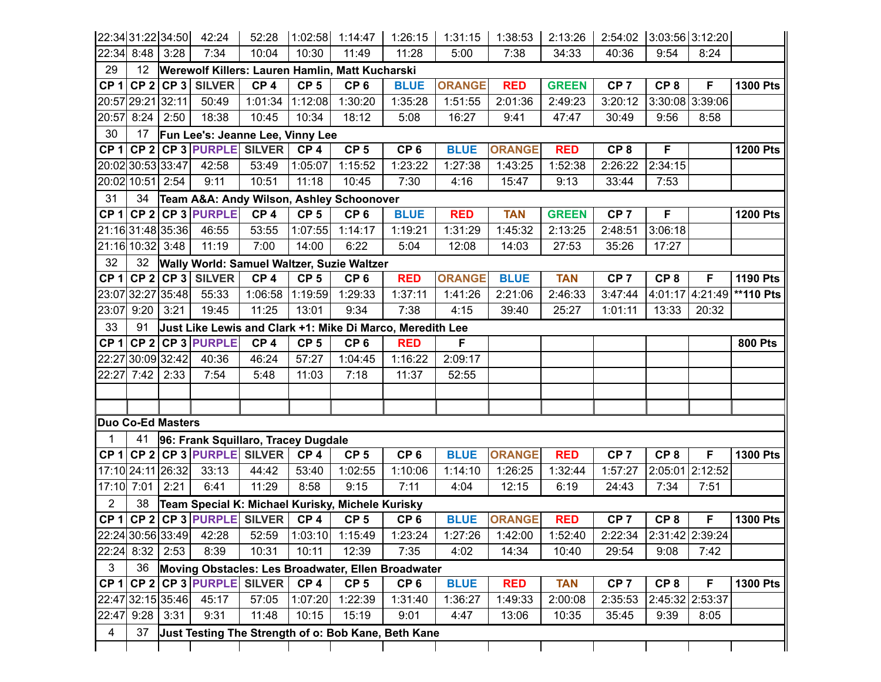|                 | 22:34 31:22 34:50        |      | 42:24                               | 52:28           |                 | $1:02:58$ 1:14:47                                         | 1:26:15         | 1:31:15       | 1:38:53       | 2:13:26      | 2:54:02 3:03:56 3:12:20 |                 |                 |                            |
|-----------------|--------------------------|------|-------------------------------------|-----------------|-----------------|-----------------------------------------------------------|-----------------|---------------|---------------|--------------|-------------------------|-----------------|-----------------|----------------------------|
|                 | 22:34 8:48               | 3:28 | 7:34                                | 10:04           | 10:30           | 11:49                                                     | 11:28           | 5:00          | 7:38          | 34:33        | 40:36                   | 9:54            | 8:24            |                            |
| 29              | 12                       |      |                                     |                 |                 | Werewolf Killers: Lauren Hamlin, Matt Kucharski           |                 |               |               |              |                         |                 |                 |                            |
|                 |                          |      | CP 1 CP 2 CP 3 SILVER               | CP <sub>4</sub> | CP <sub>5</sub> | CP <sub>6</sub>                                           | <b>BLUE</b>     | <b>ORANGE</b> | <b>RED</b>    | <b>GREEN</b> | CP <sub>7</sub>         | CP <sub>8</sub> | F               | <b>1300 Pts</b>            |
|                 | 20:57 29:21 32:11        |      | 50:49                               | 1:01:34         | 1:12:08         | 1:30:20                                                   | 1:35:28         | 1:51:55       | 2:01:36       | 2:49:23      | 3:20:12                 |                 | 3:30:08 3:39:06 |                            |
| 20:57           | 8:24                     | 2:50 | 18:38                               | 10:45           | 10:34           | 18:12                                                     | 5:08            | 16:27         | 9:41          | 47:47        | 30:49                   | 9:56            | 8:58            |                            |
| 30              | 17                       |      | Fun Lee's: Jeanne Lee, Vinny Lee    |                 |                 |                                                           |                 |               |               |              |                         |                 |                 |                            |
| CP <sub>1</sub> |                          |      | CP 2 CP 3 PURPLE SILVER             |                 | CP <sub>4</sub> | CP <sub>5</sub>                                           | CP <sub>6</sub> | <b>BLUE</b>   | <b>ORANGE</b> | <b>RED</b>   | CP <sub>8</sub>         | F               |                 | <b>1200 Pts</b>            |
|                 | 20:02 30:53 33:47        |      | 42:58                               | 53:49           | 1:05:07         | 1:15:52                                                   | 1:23:22         | 1:27:38       | 1:43:25       | 1:52:38      | 2:26:22                 | 2:34:15         |                 |                            |
|                 | 20:02 10:51 2:54         |      | 9:11                                | 10:51           | 11:18           | 10:45                                                     | 7:30            | 4:16          | 15:47         | 9:13         | 33:44                   | 7:53            |                 |                            |
| 31              | 34                       |      |                                     |                 |                 | Team A&A: Andy Wilson, Ashley Schoonover                  |                 |               |               |              |                         |                 |                 |                            |
|                 |                          |      | $CP 1$ CP 2 CP 3 PURPLE             | CP <sub>4</sub> | CP <sub>5</sub> | CP <sub>6</sub>                                           | <b>BLUE</b>     | <b>RED</b>    | <b>TAN</b>    | <b>GREEN</b> | CP <sub>7</sub>         | F               |                 | <b>1200 Pts</b>            |
|                 | 21:16 31:48 35:36        |      | 46:55                               | 53:55           | 1:07:55         | 1:14:17                                                   | 1:19:21         | 1:31:29       | 1:45:32       | 2:13:25      | 2:48:51                 | 3:06:18         |                 |                            |
|                 | 21:16 10:32 3:48         |      | 11:19                               | 7:00            | 14:00           | 6:22                                                      | 5:04            | 12:08         | 14:03         | 27:53        | 35:26                   | 17:27           |                 |                            |
| 32              | 32                       |      |                                     |                 |                 | Wally World: Samuel Waltzer, Suzie Waltzer                |                 |               |               |              |                         |                 |                 |                            |
|                 |                          |      | $CP 1$ CP 2 CP 3 SILVER             | CP <sub>4</sub> | CP <sub>5</sub> | CP <sub>6</sub>                                           | <b>RED</b>      | <b>ORANGE</b> | <b>BLUE</b>   | <b>TAN</b>   | CP <sub>7</sub>         | CP <sub>8</sub> | F               | <b>1190 Pts</b>            |
|                 | 23:07 32:27 35:48        |      | 55:33                               | 1:06:58         | 1:19:59         | 1:29:33                                                   | 1:37:11         | 1:41:26       | 2:21:06       | 2:46:33      | 3:47:44                 |                 |                 | 4:01:17 4:21:49 ** 110 Pts |
| 23:07           | 9:20                     | 3:21 | 19:45                               | 11:25           | 13:01           | 9:34                                                      | 7:38            | 4:15          | 39:40         | 25:27        | 1:01:11                 | 13:33           | 20:32           |                            |
| 33              | 91                       |      |                                     |                 |                 | Just Like Lewis and Clark +1: Mike Di Marco, Meredith Lee |                 |               |               |              |                         |                 |                 |                            |
| CP <sub>1</sub> | CP <sub>2</sub>          |      | <b>CP 3 PURPLE</b>                  | CP <sub>4</sub> | CP <sub>5</sub> | CP <sub>6</sub>                                           | <b>RED</b>      | F             |               |              |                         |                 |                 | <b>800 Pts</b>             |
|                 | 22:27 30:09 32:42        |      | 40:36                               | 46:24           | 57:27           | 1:04:45                                                   | 1:16:22         | 2:09:17       |               |              |                         |                 |                 |                            |
| 22:27           | 7:42                     | 2:33 | 7:54                                | 5:48            | 11:03           | 7:18                                                      | 11:37           | 52:55         |               |              |                         |                 |                 |                            |
|                 |                          |      |                                     |                 |                 |                                                           |                 |               |               |              |                         |                 |                 |                            |
|                 |                          |      |                                     |                 |                 |                                                           |                 |               |               |              |                         |                 |                 |                            |
|                 | <b>Duo Co-Ed Masters</b> |      |                                     |                 |                 |                                                           |                 |               |               |              |                         |                 |                 |                            |
|                 | 41                       |      | 96: Frank Squillaro, Tracey Dugdale |                 |                 |                                                           |                 |               |               |              |                         |                 |                 |                            |
|                 |                          |      | CP 1 CP 2 CP 3 PURPLE SILVER        |                 | CP <sub>4</sub> | CP <sub>5</sub>                                           | CP <sub>6</sub> | <b>BLUE</b>   | <b>ORANGE</b> | <b>RED</b>   | CP <sub>7</sub>         | CP <sub>8</sub> | F               | <b>1300 Pts</b>            |
|                 | 17:10 24:11 26:32        |      | 33:13                               | 44:42           | 53:40           | 1:02:55                                                   | 1:10:06         | 1:14:10       | 1:26:25       | 1:32:44      | 1:57:27                 |                 | 2:05:01 2:12:52 |                            |
|                 | 17:10 7:01               | 2:21 | 6:41                                | 11:29           | 8:58            | 9:15                                                      | 7:11            | 4:04          | 12:15         | 6:19         | 24:43                   | 7:34            | 7:51            |                            |
| $\overline{2}$  | 38                       |      |                                     |                 |                 | Team Special K: Michael Kurisky, Michele Kurisky          |                 |               |               |              |                         |                 |                 |                            |
|                 | $CP 1$ CP 2              |      | CP 3 PURPLE SILVER                  |                 | CP <sub>4</sub> | CP <sub>5</sub>                                           | CP <sub>6</sub> | <b>BLUE</b>   | <b>ORANGE</b> | <b>RED</b>   | CP <sub>7</sub>         | CP <sub>8</sub> | F               | <b>1300 Pts</b>            |
|                 | 22:24 30:56 33:49        |      | 42:28                               | 52:59           |                 | $1:03:10$ 1:15:49                                         | 1:23:24         | 1:27:26       | 1:42:00       | 1:52:40      | 2:22:34 2:31:42 2:39:24 |                 |                 |                            |
|                 | 22:24 8:32               | 2:53 | 8:39                                | 10:31           | 10:11           | 12:39                                                     | 7:35            | 4:02          | 14:34         | 10:40        | 29:54                   | 9:08            | 7:42            |                            |
| 3 <sup>1</sup>  | 36                       |      |                                     |                 |                 | Moving Obstacles: Les Broadwater, Ellen Broadwater        |                 |               |               |              |                         |                 |                 |                            |
|                 |                          |      | CP 1 CP 2 CP 3 PURPLE SILVER        |                 | CP <sub>4</sub> | CP <sub>5</sub>                                           | CP <sub>6</sub> | <b>BLUE</b>   | <b>RED</b>    | <b>TAN</b>   | CP <sub>7</sub>         | CP <sub>8</sub> | F               | <b>1300 Pts</b>            |
|                 | 22:47 32:15 35:46        |      | 45:17                               | 57:05           | 1:07:20         | 1:22:39                                                   | 1:31:40         | 1:36:27       | 1:49:33       | 2:00:08      | 2:35:53                 |                 | 2:45:32 2:53:37 |                            |
|                 | 22:47 9:28               | 3:31 | 9:31                                | 11:48           | 10:15           | 15:19                                                     | 9:01            | 4:47          | 13:06         | 10:35        | 35:45                   | 9:39            | 8:05            |                            |
| $\overline{4}$  | 37                       |      |                                     |                 |                 | Just Testing The Strength of o: Bob Kane, Beth Kane       |                 |               |               |              |                         |                 |                 |                            |
|                 |                          |      |                                     |                 |                 |                                                           |                 |               |               |              |                         |                 |                 |                            |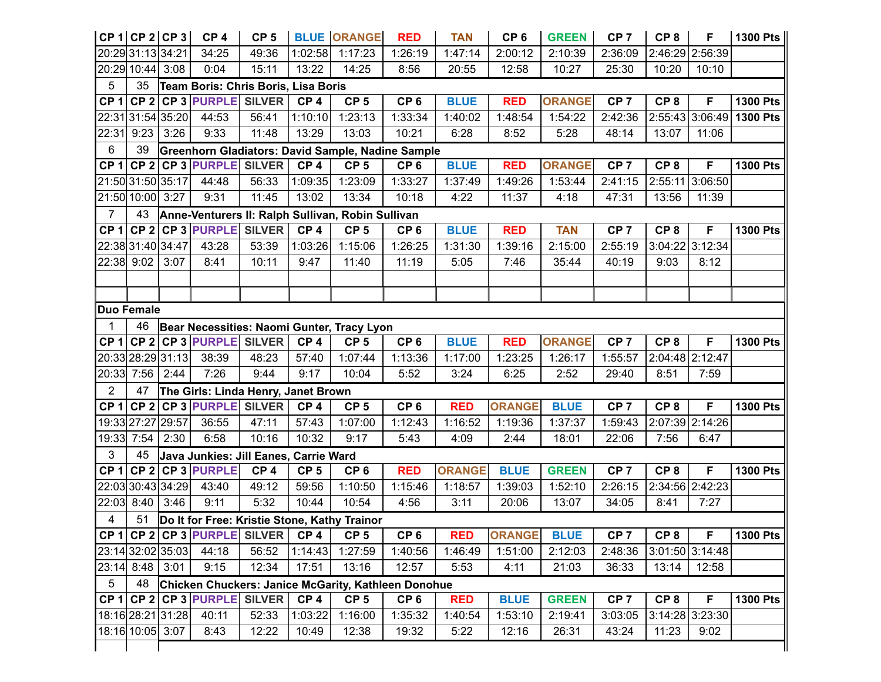|                 | $CP 1$ CP 2 CP 3  |      | CP <sub>4</sub>                       | CP <sub>5</sub> |                 | <b>BLUE ORANGE</b>                                  | <b>RED</b>      | <b>TAN</b>    | CP <sub>6</sub> | <b>GREEN</b>  | CP <sub>7</sub> | CP <sub>8</sub> | F               | 1300 Pts                   |
|-----------------|-------------------|------|---------------------------------------|-----------------|-----------------|-----------------------------------------------------|-----------------|---------------|-----------------|---------------|-----------------|-----------------|-----------------|----------------------------|
|                 | 20:29 31:13 34:21 |      | 34:25                                 | 49:36           | 1:02:58         | 1:17:23                                             | 1:26:19         | 1:47:14       | 2:00:12         | 2:10:39       | 2:36:09         |                 | 2:46:29 2:56:39 |                            |
|                 | 20:29 10:44 3:08  |      | 0:04                                  | 15:11           | 13:22           | 14:25                                               | 8:56            | 20:55         | 12:58           | 10:27         | 25:30           | 10:20           | 10:10           |                            |
| 5               | 35                |      | Team Boris: Chris Boris, Lisa Boris   |                 |                 |                                                     |                 |               |                 |               |                 |                 |                 |                            |
| CP <sub>1</sub> |                   |      | CP 2 CP 3 PURPLE SILVER               |                 | CP <sub>4</sub> | CP <sub>5</sub>                                     | CP <sub>6</sub> | <b>BLUE</b>   | <b>RED</b>      | <b>ORANGE</b> | CP <sub>7</sub> | CP <sub>8</sub> | F               | <b>1300 Pts</b>            |
|                 | 22:31 31:54 35:20 |      | 44:53                                 | 56:41           | 1:10:10         | 1:23:13                                             | 1:33:34         | 1:40:02       | 1:48:54         | 1:54:22       | 2:42:36         |                 |                 | $2:55:43 3:06:49 1300$ Pts |
| 22:31           | 9:23              | 3:26 | 9:33                                  | 11:48           | 13:29           | 13:03                                               | 10:21           | 6:28          | 8:52            | 5:28          | 48:14           | 13:07           | 11:06           |                            |
| 6               | 39                |      |                                       |                 |                 | Greenhorn Gladiators: David Sample, Nadine Sample   |                 |               |                 |               |                 |                 |                 |                            |
| CP <sub>1</sub> |                   |      | CP 2 CP 3 PURPLE SILVER               |                 | CP <sub>4</sub> | CP <sub>5</sub>                                     | CP <sub>6</sub> | <b>BLUE</b>   | <b>RED</b>      | <b>ORANGE</b> | CP <sub>7</sub> | CP <sub>8</sub> | F               | <b>1300 Pts</b>            |
|                 | 21:50 31:50 35:17 |      | 44:48                                 | 56:33           | 1:09:35         | 1:23:09                                             | 1:33:27         | 1:37:49       | 1:49:26         | 1:53:44       | 2:41:15         | 2:55:11         | 3:06:50         |                            |
|                 | 21:50 10:00 3:27  |      | 9:31                                  | 11:45           | 13:02           | 13:34                                               | 10:18           | 4:22          | 11:37           | 4:18          | 47:31           | 13:56           | 11:39           |                            |
| $\overline{7}$  | 43                |      |                                       |                 |                 | Anne-Venturers II: Ralph Sullivan, Robin Sullivan   |                 |               |                 |               |                 |                 |                 |                            |
| CP <sub>1</sub> |                   |      | CP 2 CP 3 PURPLE SILVER               |                 | CP <sub>4</sub> | CP <sub>5</sub>                                     | CP <sub>6</sub> | <b>BLUE</b>   | <b>RED</b>      | <b>TAN</b>    | CP <sub>7</sub> | CP <sub>8</sub> | F               | <b>1300 Pts</b>            |
|                 | 22:38 31:40 34:47 |      | 43:28                                 | 53:39           | 1:03:26         | 1:15:06                                             | 1:26:25         | 1:31:30       | 1:39:16         | 2:15:00       | 2:55:19         | 3:04:22         | 3:12:34         |                            |
| 22:38 9:02      |                   | 3:07 | 8:41                                  | 10:11           | 9:47            | 11:40                                               | 11:19           | 5:05          | 7:46            | 35:44         | 40:19           | 9:03            | 8:12            |                            |
|                 |                   |      |                                       |                 |                 |                                                     |                 |               |                 |               |                 |                 |                 |                            |
|                 |                   |      |                                       |                 |                 |                                                     |                 |               |                 |               |                 |                 |                 |                            |
|                 | Duo Female        |      |                                       |                 |                 |                                                     |                 |               |                 |               |                 |                 |                 |                            |
| 1               | 46                |      |                                       |                 |                 | Bear Necessities: Naomi Gunter, Tracy Lyon          |                 |               |                 |               |                 |                 |                 |                            |
| CP <sub>1</sub> |                   |      | CP 2 CP 3 PURPLE SILVER               |                 | CP <sub>4</sub> | CP <sub>5</sub>                                     | CP <sub>6</sub> | <b>BLUE</b>   | <b>RED</b>      | <b>ORANGE</b> | CP <sub>7</sub> | CP <sub>8</sub> | F               | <b>1300 Pts</b>            |
|                 | 20:33 28:29 31:13 |      | 38:39                                 | 48:23           | 57:40           | 1:07:44                                             | 1:13:36         | 1:17:00       | 1:23:25         | 1:26:17       | 1:55:57         |                 | 2:04:48 2:12:47 |                            |
|                 | 20:33 7:56        | 2:44 | 7:26                                  | 9:44            | 9:17            | 10:04                                               | 5:52            | 3:24          | 6:25            | 2:52          | 29:40           | 8:51            | 7:59            |                            |
| $\overline{2}$  | 47                |      | The Girls: Linda Henry, Janet Brown   |                 |                 |                                                     |                 |               |                 |               |                 |                 |                 |                            |
| CP <sub>1</sub> |                   |      | $CP$ 2 CP 3 PURPLE SILVER             |                 | CP <sub>4</sub> | CP <sub>5</sub>                                     | CP <sub>6</sub> | <b>RED</b>    | <b>ORANGE</b>   | <b>BLUE</b>   | CP <sub>7</sub> | CP <sub>8</sub> | F               | <b>1300 Pts</b>            |
|                 | 19:33 27:27 29:57 |      | 36:55                                 | 47:11           | 57:43           | 1:07:00                                             | 1:12:43         | 1:16:52       | 1:19:36         | 1:37:37       | 1:59:43         | 2:07:39         | 2:14:26         |                            |
| 19:33 7:54      |                   | 2:30 | 6:58                                  | 10:16           | 10:32           | 9:17                                                | 5:43            | 4:09          | 2:44            | 18:01         | 22:06           | 7:56            | 6:47            |                            |
| 3               | 45                |      | Java Junkies: Jill Eanes, Carrie Ward |                 |                 |                                                     |                 |               |                 |               |                 |                 |                 |                            |
| CP <sub>1</sub> |                   |      | CP 2 CP 3 PURPLE                      | CP <sub>4</sub> | CP <sub>5</sub> | CP <sub>6</sub>                                     | <b>RED</b>      | <b>ORANGE</b> | <b>BLUE</b>     | <b>GREEN</b>  | CP <sub>7</sub> | CP <sub>8</sub> | F               | <b>1300 Pts</b>            |
|                 | 22:03 30:43 34:29 |      | 43:40                                 | 49:12           | 59:56           | 1:10:50                                             | 1:15:46         | 1:18:57       | 1:39:03         | 1:52:10       | 2:26:15         |                 | 2:34:56 2:42:23 |                            |
|                 | 22:03 8:40        | 3:46 | 9:11                                  | 5:32            | 10:44           | 10:54                                               | 4:56            | 3:11          | 20:06           | 13:07         | 34:05           | 8:41            | 7:27            |                            |
| $\overline{4}$  | 51                |      |                                       |                 |                 | Do It for Free: Kristie Stone, Kathy Trainor        |                 |               |                 |               |                 |                 |                 |                            |
|                 |                   |      | CP 1 CP 2 CP 3 PURPLE  SILVER   CP 4  |                 |                 | CP <sub>5</sub>                                     | CP <sub>6</sub> | <b>RED</b>    | <b>ORANGE</b>   | <b>BLUE</b>   | CP <sub>7</sub> | CP <sub>8</sub> | F.              | <b>1300 Pts</b>            |
|                 |                   |      | 23:14 32:02 35:03 44:18               | 56:52           | 1:14:43         | 1:27:59                                             | 1:40:56         | 1:46:49       | 1:51:00         | 2:12:03       | 2:48:36         |                 | 3:01:50 3:14:48 |                            |
|                 | 23:14 8:48 3:01   |      | 9:15                                  | 12:34           | 17:51           | 13:16                                               | 12:57           | 5:53          | 4:11            | 21:03         | 36:33           | 13:14           | 12:58           |                            |
| 5 <sup>5</sup>  | 48                |      |                                       |                 |                 | Chicken Chuckers: Janice McGarity, Kathleen Donohue |                 |               |                 |               |                 |                 |                 |                            |
|                 |                   |      | CP 1 CP 2 CP 3 PURPLE SILVER          |                 | CP <sub>4</sub> | CP <sub>5</sub>                                     | CP <sub>6</sub> | <b>RED</b>    | <b>BLUE</b>     | <b>GREEN</b>  | CP <sub>7</sub> | CP <sub>8</sub> | F               | <b>1300 Pts</b>            |
|                 | 18:16 28:21 31:28 |      | 40:11                                 | 52:33           | 1:03:22         | 1:16:00                                             | 1:35:32         | 1:40:54       | 1:53:10         | 2:19:41       | 3:03:05         |                 | 3:14:28 3:23:30 |                            |
|                 | 18:16 10:05 3:07  |      | 8:43                                  | 12:22           | 10:49           | 12:38                                               | 19:32           | 5:22          | 12:16           | 26:31         | 43:24           | 11:23           | 9:02            |                            |
|                 |                   |      |                                       |                 |                 |                                                     |                 |               |                 |               |                 |                 |                 |                            |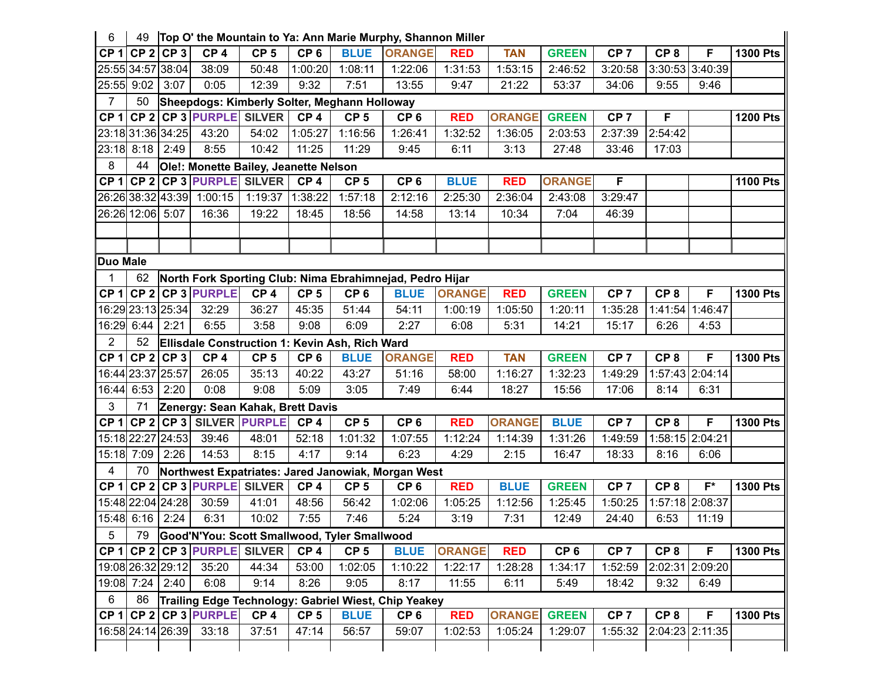| 6               | 49                |                   |                              |                                       |                 |                                                | Top O' the Mountain to Ya: Ann Marie Murphy, Shannon Miller |               |               |                 |                 |                 |                 |                 |
|-----------------|-------------------|-------------------|------------------------------|---------------------------------------|-----------------|------------------------------------------------|-------------------------------------------------------------|---------------|---------------|-----------------|-----------------|-----------------|-----------------|-----------------|
|                 |                   | $CP1$ CP 2 CP 3   | CP <sub>4</sub>              | CP <sub>5</sub>                       | CP <sub>6</sub> | <b>BLUE</b>                                    | <b>ORANGE</b>                                               | <b>RED</b>    | <b>TAN</b>    | <b>GREEN</b>    | CP <sub>7</sub> | CP <sub>8</sub> | F               | <b>1300 Pts</b> |
|                 |                   | 25:55 34:57 38:04 | 38:09                        | 50:48                                 | 1:00:20         | 1:08:11                                        | 1:22:06                                                     | 1:31:53       | 1:53:15       | 2:46:52         | 3:20:58         |                 | 3:30:53 3:40:39 |                 |
|                 | 25:55 9:02        | 3:07              | 0:05                         | 12:39                                 | 9:32            | 7:51                                           | 13:55                                                       | 9:47          | 21:22         | 53:37           | 34:06           | 9:55            | 9:46            |                 |
| $\overline{7}$  | 50                |                   |                              |                                       |                 | Sheepdogs: Kimberly Solter, Meghann Holloway   |                                                             |               |               |                 |                 |                 |                 |                 |
|                 |                   |                   |                              | CP 1 CP 2 CP 3 PURPLE SILVER          | CP <sub>4</sub> | CP <sub>5</sub>                                | CP <sub>6</sub>                                             | <b>RED</b>    | <b>ORANGE</b> | <b>GREEN</b>    | CP <sub>7</sub> | F               |                 | <b>1200 Pts</b> |
|                 |                   | 23:18 31:36 34:25 | 43:20                        | 54:02                                 | 1:05:27         | 1:16:56                                        | 1:26:41                                                     | 1:32:52       | 1:36:05       | 2:03:53         | 2:37:39         | 2:54:42         |                 |                 |
|                 | 23:18 8:18        | 2:49              | 8:55                         | 10:42                                 | 11:25           | 11:29                                          | 9:45                                                        | 6:11          | 3:13          | 27:48           | 33:46           | 17:03           |                 |                 |
| 8               | 44                |                   |                              | Ole!: Monette Bailey, Jeanette Nelson |                 |                                                |                                                             |               |               |                 |                 |                 |                 |                 |
|                 |                   |                   |                              | CP 1 CP 2 CP 3 PURPLE SILVER          | CP <sub>4</sub> | CP <sub>5</sub>                                | CP <sub>6</sub>                                             | <b>BLUE</b>   | <b>RED</b>    | <b>ORANGE</b>   | F               |                 |                 | <b>1100 Pts</b> |
|                 |                   |                   | 26:2638:3243:39 1:00:15      | 1:19:37 1:38:22                       |                 | 1:57:18                                        | 2:12:16                                                     | 2:25:30       | 2:36:04       | 2:43:08         | 3:29:47         |                 |                 |                 |
|                 | 26:26 12:06 5:07  |                   | 16:36                        | 19:22                                 | 18:45           | 18:56                                          | 14:58                                                       | 13:14         | 10:34         | 7:04            | 46:39           |                 |                 |                 |
|                 |                   |                   |                              |                                       |                 |                                                |                                                             |               |               |                 |                 |                 |                 |                 |
|                 |                   |                   |                              |                                       |                 |                                                |                                                             |               |               |                 |                 |                 |                 |                 |
| <b>Duo Male</b> |                   |                   |                              |                                       |                 |                                                |                                                             |               |               |                 |                 |                 |                 |                 |
|                 | 62                |                   |                              |                                       |                 |                                                | North Fork Sporting Club: Nima Ebrahimnejad, Pedro Hijar    |               |               |                 |                 |                 |                 |                 |
|                 |                   |                   | $CP 1$ CP 2 CP 3 PURPLE      | CP <sub>4</sub>                       | CP <sub>5</sub> | CP <sub>6</sub>                                | <b>BLUE</b>                                                 | <b>ORANGE</b> | <b>RED</b>    | <b>GREEN</b>    | CP <sub>7</sub> | CP <sub>8</sub> | F               | <b>1300 Pts</b> |
|                 |                   | 16:29 23:13 25:34 | 32:29                        | 36:27                                 | 45:35           | 51:44                                          | 54:11                                                       | 1:00:19       | 1:05:50       | 1:20:11         | 1:35:28         | 1:41:54         | 1:46:47         |                 |
|                 | 16:29 6:44        | 2:21              | 6:55                         | 3:58                                  | 9:08            | 6:09                                           | 2:27                                                        | 6:08          | 5:31          | 14:21           | 15:17           | 6:26            | 4:53            |                 |
| $\overline{2}$  | 52                |                   |                              |                                       |                 | Ellisdale Construction 1: Kevin Ash, Rich Ward |                                                             |               |               |                 |                 |                 |                 |                 |
|                 |                   | $CP 1$ CP 2 CP 3  | CP <sub>4</sub>              | CP <sub>5</sub>                       | CP <sub>6</sub> | <b>BLUE</b>                                    | <b>ORANGE</b>                                               | <b>RED</b>    | <b>TAN</b>    | <b>GREEN</b>    | CP <sub>7</sub> | CP <sub>8</sub> | F               | <b>1300 Pts</b> |
|                 | 16:44 23:37 25:57 |                   | 26:05                        | 35:13                                 | 40:22           | 43:27                                          | 51:16                                                       | 58:00         | 1:16:27       | 1:32:23         | 1:49:29         |                 | 1:57:43 2:04:14 |                 |
|                 | 16:44 6:53        | 2:20              | 0:08                         | 9:08                                  | 5:09            | 3:05                                           | 7:49                                                        | 6:44          | 18:27         | 15:56           | 17:06           | 8:14            | 6:31            |                 |
| 3 <sup>1</sup>  | 71                |                   |                              | Zenergy: Sean Kahak, Brett Davis      |                 |                                                |                                                             |               |               |                 |                 |                 |                 |                 |
|                 |                   |                   |                              | CP 1 CP 2 CP 3 SILVER PURPLE          | CP <sub>4</sub> | CP <sub>5</sub>                                | CP <sub>6</sub>                                             | <b>RED</b>    | <b>ORANGE</b> | <b>BLUE</b>     | CP <sub>7</sub> | CP <sub>8</sub> | F               | <b>1300 Pts</b> |
|                 |                   | 15:18 22:27 24:53 | 39:46                        | 48:01                                 | 52:18           | 1:01:32                                        | 1:07:55                                                     | 1:12:24       | 1:14:39       | 1:31:26         | 1:49:59         |                 | 1:58:15 2:04:21 |                 |
|                 | 15:18 7:09        | 2:26              | 14:53                        | 8:15                                  | 4:17            | 9:14                                           | 6:23                                                        | 4:29          | 2:15          | 16:47           | 18:33           | 8:16            | 6:06            |                 |
| 4               | 70                |                   |                              |                                       |                 |                                                | Northwest Expatriates: Jared Janowiak, Morgan West          |               |               |                 |                 |                 |                 |                 |
|                 |                   |                   | CP 1 CP 2 CP 3 PURPLE SILVER |                                       | CP <sub>4</sub> | CP <sub>5</sub>                                | CP <sub>6</sub>                                             | <b>RED</b>    | <b>BLUE</b>   | <b>GREEN</b>    | CP <sub>7</sub> | CP <sub>8</sub> | $F^*$           | <b>1300 Pts</b> |
|                 |                   | 15:48 22:04 24:28 | 30:59                        | 41:01                                 | 48:56           | 56:42                                          | 1:02:06                                                     | 1:05:25       | 1:12:56       | 1:25:45         | 1:50:25         |                 | 1:57:18 2:08:37 |                 |
|                 | 15:48 6:16 2:24   |                   | 6:31                         | 10:02                                 | 7:55            | 7:46                                           | 5:24                                                        | 3:19          | 7:31          | 12:49           | 24:40           | 6:53            | 11:19           |                 |
| $5\phantom{.0}$ | 79                |                   |                              |                                       |                 | Good'N'You: Scott Smallwood, Tyler Smallwood   |                                                             |               |               |                 |                 |                 |                 |                 |
|                 |                   |                   |                              | CP 1 CP 2 CP 3 PURPLE SILVER          | CP <sub>4</sub> | CP <sub>5</sub>                                | <b>BLUE</b>                                                 | <b>ORANGE</b> | <b>RED</b>    | CP <sub>6</sub> | CP <sub>7</sub> | CP <sub>8</sub> | F               | <b>1300 Pts</b> |
|                 |                   | 19:08 26:32 29:12 | 35:20                        | 44:34                                 | 53:00           | 1:02:05                                        | 1:10:22                                                     | 1:22:17       | 1:28:28       | 1:34:17         | 1:52:59         |                 | 2:02:31 2:09:20 |                 |
|                 | 19:08 7:24        | 2:40              | 6:08                         | 9:14                                  | 8:26            | 9:05                                           | 8:17                                                        | 11:55         | 6:11          | 5:49            | 18:42           | 9:32            | 6:49            |                 |
| $6\overline{6}$ | 86                |                   |                              |                                       |                 |                                                | Trailing Edge Technology: Gabriel Wiest, Chip Yeakey        |               |               |                 |                 |                 |                 |                 |
|                 |                   |                   | $CP 1$ CP 2 CP 3 PURPLE      | CP <sub>4</sub>                       | CP <sub>5</sub> | <b>BLUE</b>                                    | CP <sub>6</sub>                                             | <b>RED</b>    | <b>ORANGE</b> | <b>GREEN</b>    | CP <sub>7</sub> | CP <sub>8</sub> | F               | <b>1300 Pts</b> |
|                 |                   | 16:58 24:14 26:39 | 33:18                        | 37:51                                 | 47:14           | 56:57                                          | 59:07                                                       | 1:02:53       | 1:05:24       | 1:29:07         | 1:55:32         |                 | 2:04:23 2:11:35 |                 |
|                 |                   |                   |                              |                                       |                 |                                                |                                                             |               |               |                 |                 |                 |                 |                 |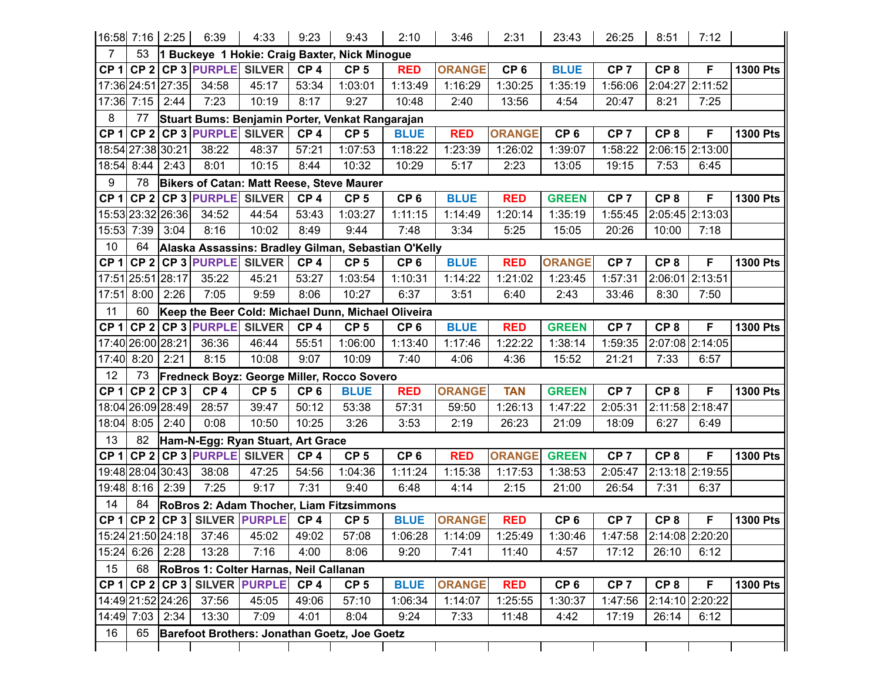|                 |                   | 16:58 7:16 2:25   | 6:39                      | 4:33                                   | 9:23            | 9:43                                                | 2:10            | 3:46          | 2:31            | 23:43           | 26:25           | 8:51            | 7:12            |                 |
|-----------------|-------------------|-------------------|---------------------------|----------------------------------------|-----------------|-----------------------------------------------------|-----------------|---------------|-----------------|-----------------|-----------------|-----------------|-----------------|-----------------|
| 7               | 53                |                   |                           |                                        |                 | 1 Buckeye 1 Hokie: Craig Baxter, Nick Minogue       |                 |               |                 |                 |                 |                 |                 |                 |
| CP 1            |                   |                   | CP 2 CP 3 PURPLE SILVER   |                                        | CP <sub>4</sub> | CP <sub>5</sub>                                     | <b>RED</b>      | <b>ORANGE</b> | CP <sub>6</sub> | <b>BLUE</b>     | CP <sub>7</sub> | CP <sub>8</sub> | F               | <b>1300 Pts</b> |
|                 |                   | 17:36 24:51 27:35 | 34:58                     | 45:17                                  | 53:34           | 1:03:01                                             | 1:13:49         | 1:16:29       | 1:30:25         | 1:35:19         | 1:56:06         | 2:04:27         | 2:11:52         |                 |
|                 | 17:36 7:15 2:44   |                   | 7:23                      | 10:19                                  | 8:17            | 9:27                                                | 10:48           | 2:40          | 13:56           | 4:54            | 20:47           | 8:21            | 7:25            |                 |
| 8               | 77                |                   |                           |                                        |                 | Stuart Bums: Benjamin Porter, Venkat Rangarajan     |                 |               |                 |                 |                 |                 |                 |                 |
| CP <sub>1</sub> |                   |                   | CP 2 CP 3 PURPLE SILVER   |                                        | CP <sub>4</sub> | CP <sub>5</sub>                                     | <b>BLUE</b>     | <b>RED</b>    | <b>ORANGE</b>   | CP <sub>6</sub> | CP <sub>7</sub> | CP <sub>8</sub> | F               | <b>1300 Pts</b> |
|                 | 18:54 27:38 30:21 |                   | 38:22                     | 48:37                                  | 57:21           | 1:07:53                                             | 1:18:22         | 1:23:39       | 1:26:02         | 1:39:07         | 1:58:22         |                 | 2:06:15 2:13:00 |                 |
|                 | 18:54 8:44        | 2:43              | 8:01                      | 10:15                                  | 8:44            | 10:32                                               | 10:29           | 5:17          | 2:23            | 13:05           | 19:15           | 7:53            | 6:45            |                 |
| 9               | 78                |                   |                           |                                        |                 | Bikers of Catan: Matt Reese, Steve Maurer           |                 |               |                 |                 |                 |                 |                 |                 |
| CP <sub>1</sub> |                   |                   | CP 2 CP 3 PURPLE          | <b>SILVER</b>                          | CP <sub>4</sub> | CP <sub>5</sub>                                     | CP <sub>6</sub> | <b>BLUE</b>   | <b>RED</b>      | <b>GREEN</b>    | CP <sub>7</sub> | CP <sub>8</sub> | F               | <b>1300 Pts</b> |
|                 |                   | 15:53 23:32 26:36 | 34:52                     | 44:54                                  | 53:43           | 1:03:27                                             | 1:11:15         | 1:14:49       | 1:20:14         | 1:35:19         | 1:55:45         |                 | 2:05:45 2:13:03 |                 |
| 15:53           | 7:39              | 3:04              | 8:16                      | 10:02                                  | 8:49            | 9:44                                                | 7:48            | 3:34          | 5:25            | 15:05           | 20:26           | 10:00           | 7:18            |                 |
| 10              | 64                |                   |                           |                                        |                 | Alaska Assassins: Bradley Gilman, Sebastian O'Kelly |                 |               |                 |                 |                 |                 |                 |                 |
| CP 1            |                   |                   | CP 2 CP 3 PURPLE SILVER   |                                        | CP <sub>4</sub> | CP <sub>5</sub>                                     | CP <sub>6</sub> | <b>BLUE</b>   | <b>RED</b>      | <b>ORANGE</b>   | CP <sub>7</sub> | CP <sub>8</sub> | F               | <b>1300 Pts</b> |
|                 | 17:51 25:51 28:17 |                   | 35:22                     | 45:21                                  | 53:27           | 1:03:54                                             | 1:10:31         | 1:14:22       | 1:21:02         | 1:23:45         | 1:57:31         | 2:06:01         | 2:13:51         |                 |
| 17:51           | 8:00              | 2:26              | 7:05                      | 9:59                                   | 8:06            | 10:27                                               | 6:37            | 3:51          | 6:40            | 2:43            | 33:46           | 8:30            | 7:50            |                 |
| 11              | 60                |                   |                           |                                        |                 | Keep the Beer Cold: Michael Dunn, Michael Oliveira  |                 |               |                 |                 |                 |                 |                 |                 |
| CP <sub>1</sub> |                   |                   | CP 2 CP 3 PURPLE SILVER   |                                        | CP <sub>4</sub> | CP <sub>5</sub>                                     | CP <sub>6</sub> | <b>BLUE</b>   | <b>RED</b>      | <b>GREEN</b>    | CP <sub>7</sub> | CP <sub>8</sub> | F               | <b>1300 Pts</b> |
|                 | 17:40 26:00 28:21 |                   | 36:36                     | 46:44                                  | 55:51           | 1:06:00                                             | 1:13:40         | 1:17:46       | 1:22:22         | 1:38:14         | 1:59:35         |                 | 2:07:08 2:14:05 |                 |
| 17:40           | 8:20              | 2:21              | 8:15                      | 10:08                                  | 9:07            | 10:09                                               | 7:40            | 4:06          | 4:36            | 15:52           | 21:21           | 7:33            | 6:57            |                 |
| 12              | 73                |                   |                           |                                        |                 | <b>Fredneck Boyz: George Miller, Rocco Sovero</b>   |                 |               |                 |                 |                 |                 |                 |                 |
| CP <sub>1</sub> |                   | $CP2$ $CP3$       | CP <sub>4</sub>           | CP <sub>5</sub>                        | CP <sub>6</sub> | <b>BLUE</b>                                         | <b>RED</b>      | <b>ORANGE</b> | <b>TAN</b>      | <b>GREEN</b>    | CP <sub>7</sub> | CP <sub>8</sub> | F               | <b>1300 Pts</b> |
|                 |                   | 18:04 26:09 28:49 | 28:57                     | 39:47                                  | 50:12           | 53:38                                               | 57:31           | 59:50         | 1:26:13         | 1:47:22         | 2:05:31         |                 | 2:11:58 2:18:47 |                 |
| 18:04           | 8:05              | 2:40              | 0:08                      | 10:50                                  | 10:25           | 3:26                                                | 3:53            | 2:19          | 26:23           | 21:09           | 18:09           | 6:27            | 6:49            |                 |
| 13              | 82                |                   |                           | Ham-N-Egg: Ryan Stuart, Art Grace      |                 |                                                     |                 |               |                 |                 |                 |                 |                 |                 |
| CP 1            |                   |                   | $CP$ 2 CP 3 PURPLE SILVER |                                        | CP <sub>4</sub> | CP <sub>5</sub>                                     | CP <sub>6</sub> | <b>RED</b>    | <b>ORANGE</b>   | <b>GREEN</b>    | CP <sub>7</sub> | CP <sub>8</sub> | F               | <b>1300 Pts</b> |
|                 |                   | 19:48 28:04 30:43 | 38:08                     | 47:25                                  | 54:56           | 1:04:36                                             | 1:11:24         | 1:15:38       | 1:17:53         | 1:38:53         | 2:05:47         |                 | 2:13:18 2:19:55 |                 |
|                 | 19:48 8:16 2:39   |                   | 7:25                      | 9:17                                   | 7:31            | 9:40                                                | 6:48            | 4:14          | 2:15            | 21:00           | 26:54           | 7:31            | 6:37            |                 |
| 14              | 84                |                   |                           |                                        |                 | RoBros 2: Adam Thocher, Liam Fitzsimmons            |                 |               |                 |                 |                 |                 |                 |                 |
|                 |                   |                   |                           | CP 1 CP 2 CP 3 SILVER PURPLE CP 4      |                 | CP <sub>5</sub>                                     | <b>BLUE</b>     | <b>ORANGE</b> | <b>RED</b>      | CP <sub>6</sub> | CP <sub>7</sub> | CP <sub>8</sub> | F               | <b>1300 Pts</b> |
|                 |                   | 15:24 21:50 24:18 | 37:46                     | 45:02                                  | 49:02           | 57:08                                               | 1:06:28         | 1:14:09       | 1:25:49         | 1:30:46         | 1:47:58         |                 | 2:14:08 2:20:20 |                 |
|                 | 15:24 6:26 2:28   |                   | 13:28                     | 7:16                                   | 4:00            | 8:06                                                | 9:20            | 7:41          | 11:40           | 4:57            | 17:12           | 26:10           | 6:12            |                 |
| 15              | 68                |                   |                           | RoBros 1: Colter Harnas, Neil Callanan |                 |                                                     |                 |               |                 |                 |                 |                 |                 |                 |
| CP 1            |                   |                   |                           | CP 2 CP 3 SILVER PURPLE                | CP <sub>4</sub> | CP <sub>5</sub>                                     | <b>BLUE</b>     | <b>ORANGE</b> | <b>RED</b>      | CP <sub>6</sub> | CP <sub>7</sub> | CP <sub>8</sub> | F               | <b>1300 Pts</b> |
|                 |                   | 14:49 21:52 24:26 | 37:56                     | 45:05                                  | 49:06           | 57:10                                               | 1:06:34         | 1:14:07       | 1:25:55         | 1:30:37         | 1:47:56         |                 | 2:14:10 2:20:22 |                 |
|                 | 14:49 7:03 2:34   |                   | 13:30                     | 7:09                                   | 4:01            | 8:04                                                | 9:24            | 7:33          | 11:48           | 4:42            | 17:19           | 26:14           | 6:12            |                 |
| 16              | 65                |                   |                           |                                        |                 | Barefoot Brothers: Jonathan Goetz, Joe Goetz        |                 |               |                 |                 |                 |                 |                 |                 |
|                 |                   |                   |                           |                                        |                 |                                                     |                 |               |                 |                 |                 |                 |                 |                 |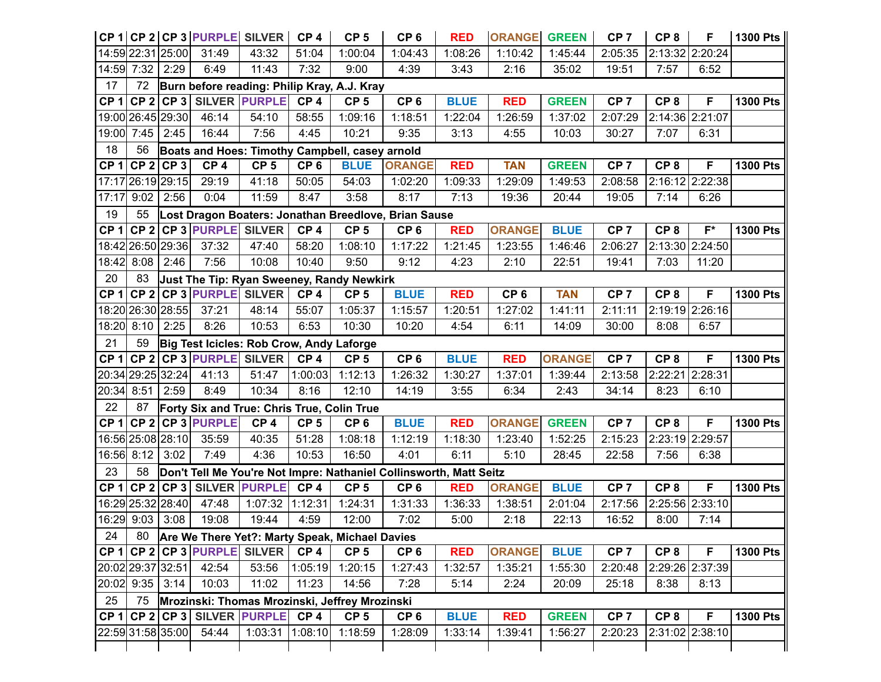|                 |                   |             | CP 1 CP 2 CP 3 PURPLE SILVER               |                      | CP <sub>4</sub> | CP <sub>5</sub>                                | CP <sub>6</sub>                                                    | <b>RED</b>  | <b>ORANGE</b>   | <b>GREEN</b>  | CP <sub>7</sub> | CP <sub>8</sub> | F               | 1300 Pts        |
|-----------------|-------------------|-------------|--------------------------------------------|----------------------|-----------------|------------------------------------------------|--------------------------------------------------------------------|-------------|-----------------|---------------|-----------------|-----------------|-----------------|-----------------|
|                 | 14:59 22:31 25:00 |             | 31:49                                      | 43:32                | 51:04           | 1:00:04                                        | 1:04:43                                                            | 1:08:26     | 1:10:42         | 1:45:44       | 2:05:35         |                 | 2:13:32 2:20:24 |                 |
| 14:59           | 7:32              | 2:29        | 6:49                                       | 11:43                | 7:32            | 9:00                                           | 4:39                                                               | 3:43        | 2:16            | 35:02         | 19:51           | 7:57            | 6:52            |                 |
| 17              | 72                |             |                                            |                      |                 | Burn before reading: Philip Kray, A.J. Kray    |                                                                    |             |                 |               |                 |                 |                 |                 |
| CP <sub>1</sub> |                   |             | CP 2 CP 3 SILVER PURPLE                    |                      | CP <sub>4</sub> | CP <sub>5</sub>                                | CP <sub>6</sub>                                                    | <b>BLUE</b> | <b>RED</b>      | <b>GREEN</b>  | CP <sub>7</sub> | CP <sub>8</sub> | F               | <b>1300 Pts</b> |
|                 | 19:00 26:45 29:30 |             | 46:14                                      | 54:10                | 58:55           | 1:09:16                                        | 1:18:51                                                            | 1:22:04     | 1:26:59         | 1:37:02       | 2:07:29         |                 | 2:14:36 2:21:07 |                 |
| 19:00           | $7:45$ 2:45       |             | 16:44                                      | 7:56                 | 4:45            | 10:21                                          | 9:35                                                               | 3:13        | 4:55            | 10:03         | 30:27           | 7:07            | 6:31            |                 |
| 18              | 56                |             |                                            |                      |                 | Boats and Hoes: Timothy Campbell, casey arnold |                                                                    |             |                 |               |                 |                 |                 |                 |
| CP <sub>1</sub> |                   | $CP 2$ CP 3 | CP <sub>4</sub>                            | CP <sub>5</sub>      | CP <sub>6</sub> | <b>BLUE</b>                                    | <b>ORANGE</b>                                                      | <b>RED</b>  | <b>TAN</b>      | <b>GREEN</b>  | CP <sub>7</sub> | CP <sub>8</sub> | F               | <b>1300 Pts</b> |
|                 | 17:17 26:19 29:15 |             | 29:19                                      | 41:18                | 50:05           | 54:03                                          | 1:02:20                                                            | 1:09:33     | 1:29:09         | 1:49:53       | 2:08:58         |                 | 2:16:12 2:22:38 |                 |
| 17:17           | 9:02              | 2:56        | 0:04                                       | 11:59                | 8:47            | 3:58                                           | 8:17                                                               | 7:13        | 19:36           | 20:44         | 19:05           | 7:14            | 6:26            |                 |
| 19              | 55                |             |                                            |                      |                 |                                                | Lost Dragon Boaters: Jonathan Breedlove, Brian Sause               |             |                 |               |                 |                 |                 |                 |
| CP <sub>1</sub> |                   |             | CP 2 CP 3 PURPLE SILVER                    |                      | CP <sub>4</sub> | CP <sub>5</sub>                                | CP <sub>6</sub>                                                    | <b>RED</b>  | <b>ORANGE</b>   | <b>BLUE</b>   | CP <sub>7</sub> | CP <sub>8</sub> | $F^*$           | <b>1300 Pts</b> |
|                 | 18:42 26:50 29:36 |             | 37:32                                      | 47:40                | 58:20           | 1:08:10                                        | 1:17:22                                                            | 1:21:45     | 1:23:55         | 1:46:46       | 2:06:27         |                 | 2:13:30 2:24:50 |                 |
|                 | 18:42 8:08 2:46   |             | 7:56                                       | 10:08                | 10:40           | 9:50                                           | 9:12                                                               | 4:23        | 2:10            | 22:51         | 19:41           | 7:03            | 11:20           |                 |
| 20              | 83                |             |                                            |                      |                 | Just The Tip: Ryan Sweeney, Randy Newkirk      |                                                                    |             |                 |               |                 |                 |                 |                 |
| CP <sub>1</sub> |                   |             | CP 2 CP 3 PURPLE SILVER                    |                      | CP <sub>4</sub> | CP <sub>5</sub>                                | <b>BLUE</b>                                                        | <b>RED</b>  | CP <sub>6</sub> | <b>TAN</b>    | CP <sub>7</sub> | CP <sub>8</sub> | F               | <b>1300 Pts</b> |
|                 | 18:20 26:30 28:55 |             | 37:21                                      | 48:14                | 55:07           | 1:05:37                                        | 1:15:57                                                            | 1:20:51     | 1:27:02         | 1:41:11       | 2:11:11         |                 | 2:19:19 2:26:16 |                 |
|                 | 18:20 8:10        | 2:25        | 8:26                                       | 10:53                | 6:53            | 10:30                                          | 10:20                                                              | 4:54        | 6:11            | 14:09         | 30:00           | 8:08            | 6:57            |                 |
| 21              | 59                |             | Big Test Icicles: Rob Crow, Andy Laforge   |                      |                 |                                                |                                                                    |             |                 |               |                 |                 |                 |                 |
| CP <sub>1</sub> |                   |             | CP 2 CP 3 PURPLE SILVER                    |                      | CP <sub>4</sub> | CP <sub>5</sub>                                | CP <sub>6</sub>                                                    | <b>BLUE</b> | <b>RED</b>      | <b>ORANGE</b> | CP <sub>7</sub> | CP <sub>8</sub> | F               | <b>1300 Pts</b> |
|                 | 20:34 29:25 32:24 |             | 41:13                                      | 51:47                | 1:00:03         | 1:12:13                                        | 1:26:32                                                            | 1:30:27     | 1:37:01         | 1:39:44       | 2:13:58         | 2:22:21         | 2:28:31         |                 |
| 20:34           | 8:51              | 2:59        | 8:49                                       | 10:34                | 8:16            | 12:10                                          | 14:19                                                              | 3:55        | 6:34            | 2:43          | 34:14           | 8:23            | 6:10            |                 |
| 22              | 87                |             | Forty Six and True: Chris True, Colin True |                      |                 |                                                |                                                                    |             |                 |               |                 |                 |                 |                 |
| CP <sub>1</sub> |                   |             | CP 2 CP 3 PURPLE                           | CP <sub>4</sub>      | CP <sub>5</sub> | CP <sub>6</sub>                                | <b>BLUE</b>                                                        | <b>RED</b>  | <b>ORANGE</b>   | <b>GREEN</b>  | CP <sub>7</sub> | CP <sub>8</sub> | F               | <b>1300 Pts</b> |
|                 | 16:56 25:08 28:10 |             | 35:59                                      | 40:35                | 51:28           | 1:08:18                                        | 1:12:19                                                            | 1:18:30     | 1:23:40         | 1:52:25       | 2:15:23         | 2:23:19 2:29:57 |                 |                 |
|                 | 16:56 8:12 3:02   |             | 7:49                                       | 4:36                 | 10:53           | 16:50                                          | 4:01                                                               | 6:11        | 5:10            | 28:45         | 22:58           | 7:56            | 6:38            |                 |
| 23              | 58                |             |                                            |                      |                 |                                                | Don't Tell Me You're Not Impre: Nathaniel Collinsworth, Matt Seitz |             |                 |               |                 |                 |                 |                 |
| CP <sub>1</sub> |                   | $CP$ 2 CP 3 |                                            | <b>SILVER PURPLE</b> | CP <sub>4</sub> | CP <sub>5</sub>                                | CP <sub>6</sub>                                                    | <b>RED</b>  | <b>ORANGE</b>   | <b>BLUE</b>   | CP <sub>7</sub> | CP <sub>8</sub> | F               | <b>1300 Pts</b> |
|                 | 16:29 25:32 28:40 |             | 47:48                                      | 1:07:32              | 1:12:31         | 1:24:31                                        | 1:31:33                                                            | 1:36:33     | 1:38:51         | 2:01:04       | 2:17:56         |                 | 2:25:56 2:33:10 |                 |
|                 | 16:29 9:03 3:08   |             | 19:08                                      | 19:44                | 4:59            | 12:00                                          | 7:02                                                               | 5:00        | 2:18            | 22:13         | 16:52           | 8:00            | 7:14            |                 |
| 24              | 80                |             |                                            |                      |                 | Are We There Yet?: Marty Speak, Michael Davies |                                                                    |             |                 |               |                 |                 |                 |                 |
|                 |                   |             | CP 1 CP 2 CP 3 PURPLE SILVER               |                      | CP <sub>4</sub> | CP <sub>5</sub>                                | CP <sub>6</sub>                                                    | <b>RED</b>  | <b>ORANGE</b>   | <b>BLUE</b>   | CP <sub>7</sub> | CP <sub>8</sub> | F               | <b>1300 Pts</b> |
|                 | 20:02 29:37 32:51 |             | 42:54                                      | 53:56                | 1:05:19         | 1:20:15                                        | 1:27:43                                                            | 1:32:57     | 1:35:21         | 1:55:30       | 2:20:48         |                 | 2:29:26 2:37:39 |                 |
|                 | 20:02 9:35 3:14   |             | 10:03                                      | 11:02                | 11:23           | 14:56                                          | 7:28                                                               | 5:14        | 2:24            | 20:09         | 25:18           | 8:38            | 8:13            |                 |
| 25              | 75                |             |                                            |                      |                 | Mrozinski: Thomas Mrozinski, Jeffrey Mrozinski |                                                                    |             |                 |               |                 |                 |                 |                 |
| CP 1            |                   |             | CP 2 CP 3 SILVER PURPLE                    |                      | CP <sub>4</sub> | CP <sub>5</sub>                                | CP <sub>6</sub>                                                    | <b>BLUE</b> | <b>RED</b>      | <b>GREEN</b>  | CP <sub>7</sub> | CP <sub>8</sub> | F               | <b>1300 Pts</b> |
|                 | 22:59 31:58 35:00 |             | 54:44                                      | 1:03:31 1:08:10      |                 | 1:18:59                                        | 1:28:09                                                            | 1:33:14     | 1:39:41         | 1:56:27       | 2:20:23         |                 | 2:31:02 2:38:10 |                 |
|                 |                   |             |                                            |                      |                 |                                                |                                                                    |             |                 |               |                 |                 |                 |                 |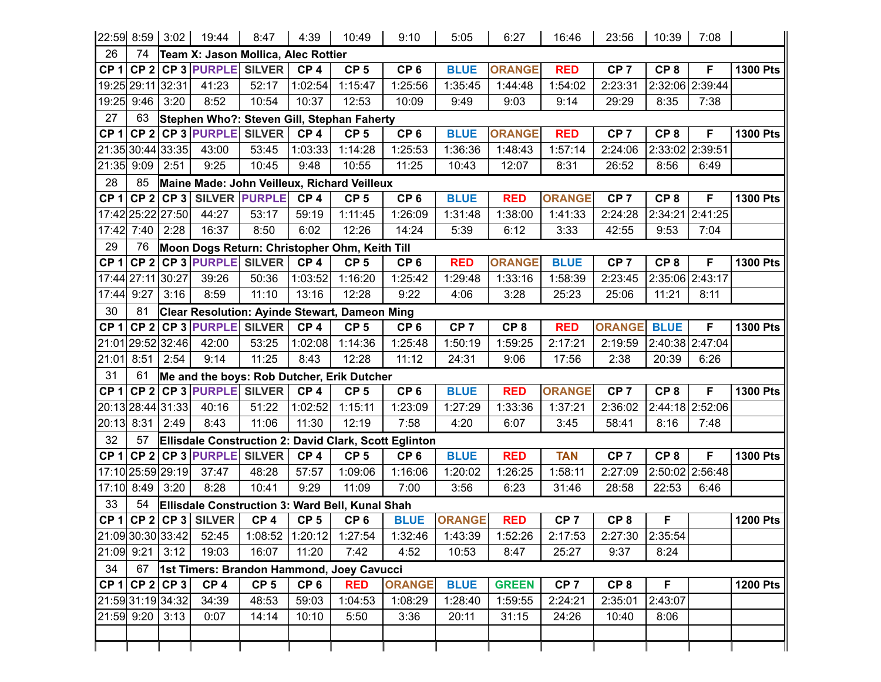|                 |                   | 22:59 8:59 3:02   | 19:44                               | 8:47                 | 4:39            | 10:49                                           | 9:10                                                  | 5:05            | 6:27            | 16:46           | 23:56           | 10:39           | 7:08            |                 |
|-----------------|-------------------|-------------------|-------------------------------------|----------------------|-----------------|-------------------------------------------------|-------------------------------------------------------|-----------------|-----------------|-----------------|-----------------|-----------------|-----------------|-----------------|
| 26              | 74                |                   | Team X: Jason Mollica, Alec Rottier |                      |                 |                                                 |                                                       |                 |                 |                 |                 |                 |                 |                 |
|                 | CP 1 CP 2         |                   | <b>CP 3 PURPLE SILVER</b>           |                      | CP <sub>4</sub> | CP <sub>5</sub>                                 | CP <sub>6</sub>                                       | <b>BLUE</b>     | <b>ORANGE</b>   | <b>RED</b>      | CP <sub>7</sub> | CP <sub>8</sub> | F               | <b>1300 Pts</b> |
|                 |                   | 19:25 29:11 32:31 | 41:23                               | 52:17                | 1:02:54         | 1:15:47                                         | 1:25:56                                               | 1:35:45         | 1:44:48         | 1:54:02         | 2:23:31         |                 | 2:32:06 2:39:44 |                 |
|                 | 19:25 9:46        | 3:20              | 8:52                                | 10:54                | 10:37           | 12:53                                           | 10:09                                                 | 9:49            | 9:03            | 9:14            | 29:29           | 8:35            | 7:38            |                 |
| 27              | 63                |                   |                                     |                      |                 | Stephen Who?: Steven Gill, Stephan Faherty      |                                                       |                 |                 |                 |                 |                 |                 |                 |
| CP <sub>1</sub> | CP <sub>2</sub>   |                   | <b>CP 3 PURPLE SILVER</b>           |                      | CP <sub>4</sub> | CP <sub>5</sub>                                 | CP <sub>6</sub>                                       | <b>BLUE</b>     | <b>ORANGE</b>   | <b>RED</b>      | CP <sub>7</sub> | CP <sub>8</sub> | F               | <b>1300 Pts</b> |
|                 |                   | 21:35 30:44 33:35 | 43:00                               | 53:45                | 1:03:33         | 1:14:28                                         | 1:25:53                                               | 1:36:36         | 1:48:43         | 1:57:14         | 2:24:06         |                 | 2:33:02 2:39:51 |                 |
|                 | 21:35 9:09        | 2:51              | 9:25                                | 10:45                | 9:48            | 10:55                                           | 11:25                                                 | 10:43           | 12:07           | 8:31            | 26:52           | 8:56            | 6:49            |                 |
| 28              | 85                |                   |                                     |                      |                 | Maine Made: John Veilleux, Richard Veilleux     |                                                       |                 |                 |                 |                 |                 |                 |                 |
| CP <sub>1</sub> |                   | $CP 2$ CP 3       |                                     | <b>SILVER PURPLE</b> | CP <sub>4</sub> | CP <sub>5</sub>                                 | CP <sub>6</sub>                                       | <b>BLUE</b>     | <b>RED</b>      | <b>ORANGE</b>   | CP <sub>7</sub> | CP <sub>8</sub> | F               | <b>1300 Pts</b> |
|                 |                   | 17:42 25:22 27:50 | 44:27                               | 53:17                | 59:19           | 1:11:45                                         | 1:26:09                                               | 1:31:48         | 1:38:00         | 1:41:33         | 2:24:28         |                 | 2:34:21 2:41:25 |                 |
|                 | 17:42 7:40        | 2:28              | 16:37                               | 8:50                 | 6:02            | 12:26                                           | 14:24                                                 | 5:39            | 6:12            | 3:33            | 42:55           | 9:53            | 7:04            |                 |
| 29              | 76                |                   |                                     |                      |                 | Moon Dogs Return: Christopher Ohm, Keith Till   |                                                       |                 |                 |                 |                 |                 |                 |                 |
| CP <sub>1</sub> | CP <sub>2</sub>   |                   | <b>CP 3 PURPLE SILVER</b>           |                      | CP <sub>4</sub> | CP <sub>5</sub>                                 | CP <sub>6</sub>                                       | <b>RED</b>      | <b>ORANGE</b>   | <b>BLUE</b>     | CP <sub>7</sub> | CP <sub>8</sub> | F               | <b>1300 Pts</b> |
|                 | 17:44 27:11 30:27 |                   | 39:26                               | 50:36                | 1:03:52         | 1:16:20                                         | 1:25:42                                               | 1:29:48         | 1:33:16         | 1:58:39         | 2:23:45         |                 | 2:35:06 2:43:17 |                 |
| 17:44 9:27      |                   | 3:16              | 8:59                                | 11:10                | 13:16           | 12:28                                           | 9:22                                                  | 4:06            | 3:28            | 25:23           | 25:06           | 11:21           | 8:11            |                 |
| 30              | 81                |                   |                                     |                      |                 | Clear Resolution: Ayinde Stewart, Dameon Ming   |                                                       |                 |                 |                 |                 |                 |                 |                 |
| CP <sub>1</sub> | CP <sub>2</sub>   |                   | <b>CP 3 PURPLE SILVER</b>           |                      | CP <sub>4</sub> | CP <sub>5</sub>                                 | CP <sub>6</sub>                                       | CP <sub>7</sub> | CP <sub>8</sub> | <b>RED</b>      | <b>ORANGE</b>   | <b>BLUE</b>     | F               | <b>1300 Pts</b> |
|                 |                   | 21:01 29:52 32:46 | 42:00                               | 53:25                | 1:02:08         | 1:14:36                                         | 1:25:48                                               | 1:50:19         | 1:59:25         | 2:17:21         | 2:19:59         |                 | 2:40:38 2:47:04 |                 |
| 21:01           | 8:51              | 2:54              | 9:14                                | 11:25                | 8:43            | 12:28                                           | 11:12                                                 | 24:31           | 9:06            | 17:56           | 2:38            | 20:39           | 6:26            |                 |
| 31              | 61                |                   |                                     |                      |                 | Me and the boys: Rob Dutcher, Erik Dutcher      |                                                       |                 |                 |                 |                 |                 |                 |                 |
| CP <sub>1</sub> |                   |                   | CP 2 CP 3 PURPLE SILVER             |                      | CP <sub>4</sub> | CP <sub>5</sub>                                 | CP <sub>6</sub>                                       | <b>BLUE</b>     | <b>RED</b>      | <b>ORANGE</b>   | CP <sub>7</sub> | CP <sub>8</sub> | F               | <b>1300 Pts</b> |
|                 |                   | 20:13 28:44 31:33 | 40:16                               | 51:22                | 1:02:52         | 1:15:11                                         | 1:23:09                                               | 1:27:29         | 1:33:36         | 1:37:21         | 2:36:02         |                 | 2:44:18 2:52:06 |                 |
|                 | 20:13 8:31        | 2:49              | 8:43                                | 11:06                | 11:30           | 12:19                                           | 7:58                                                  | 4:20            | 6:07            | 3:45            | 58:41           | 8:16            | 7:48            |                 |
| 32              | 57                |                   |                                     |                      |                 |                                                 | Ellisdale Construction 2: David Clark, Scott Eglinton |                 |                 |                 |                 |                 |                 |                 |
| CP <sub>1</sub> | CP <sub>2</sub>   |                   | <b>CP 3 PURPLE SILVER</b>           |                      | CP <sub>4</sub> | CP <sub>5</sub>                                 | CP <sub>6</sub>                                       | <b>BLUE</b>     | <b>RED</b>      | <b>TAN</b>      | CP <sub>7</sub> | CP <sub>8</sub> | F               | <b>1300 Pts</b> |
|                 |                   | 17:10 25:59 29:19 | 37:47                               | 48:28                | 57:57           | 1:09:06                                         | 1:16:06                                               | 1:20:02         | 1:26:25         | 1:58:11         | 2:27:09         |                 | 2:50:02 2:56:48 |                 |
|                 | 17:10 8:49        | 3:20              | 8:28                                | 10:41                | 9:29            | 11:09                                           | 7:00                                                  | 3:56            | 6:23            | 31:46           | 28:58           | 22:53           | 6:46            |                 |
| 33              | 54                |                   |                                     |                      |                 | Ellisdale Construction 3: Ward Bell, Kunal Shah |                                                       |                 |                 |                 |                 |                 |                 |                 |
|                 |                   |                   | $CP 1$ CP 2 CP 3 SILVER             | CP <sub>4</sub>      | CP <sub>5</sub> | CP <sub>6</sub>                                 | <b>BLUE</b>                                           | <b>ORANGE</b>   | <b>RED</b>      | CP <sub>7</sub> | CP <sub>8</sub> | F               |                 | <b>1200 Pts</b> |
|                 |                   | 21:09 30:30 33:42 | 52:45                               | 1:08:52 1:20:12      |                 | 1:27:54                                         | 1:32:46                                               | 1:43:39         | 1:52:26         | 2:17:53         | 2:27:30         | 2:35:54         |                 |                 |
|                 |                   | 21:09 9:21 3:12   | 19:03                               | 16:07                | 11:20           | 7:42                                            | 4:52                                                  | 10:53           | 8:47            | 25:27           | 9:37            | 8:24            |                 |                 |
| 34              | 67                |                   |                                     |                      |                 | 1st Timers: Brandon Hammond, Joey Cavucci       |                                                       |                 |                 |                 |                 |                 |                 |                 |
|                 |                   | $CP 1$ CP 2 CP 3  | CP <sub>4</sub>                     | CP <sub>5</sub>      | CP <sub>6</sub> | <b>RED</b>                                      | <b>ORANGE</b>                                         | <b>BLUE</b>     | <b>GREEN</b>    | CP <sub>7</sub> | CP <sub>8</sub> | F               |                 | <b>1200 Pts</b> |
|                 |                   | 21:59 31:19 34:32 | 34:39                               | 48:53                | 59:03           | 1:04:53                                         | 1:08:29                                               | 1:28:40         | 1:59:55         | 2:24:21         | 2:35:01         | 2:43:07         |                 |                 |
|                 | 21:59 9:20        | 3:13              | 0:07                                | 14:14                | 10:10           | 5:50                                            | 3:36                                                  | 20:11           | 31:15           | 24:26           | 10:40           | 8:06            |                 |                 |
|                 |                   |                   |                                     |                      |                 |                                                 |                                                       |                 |                 |                 |                 |                 |                 |                 |
|                 |                   |                   |                                     |                      |                 |                                                 |                                                       |                 |                 |                 |                 |                 |                 |                 |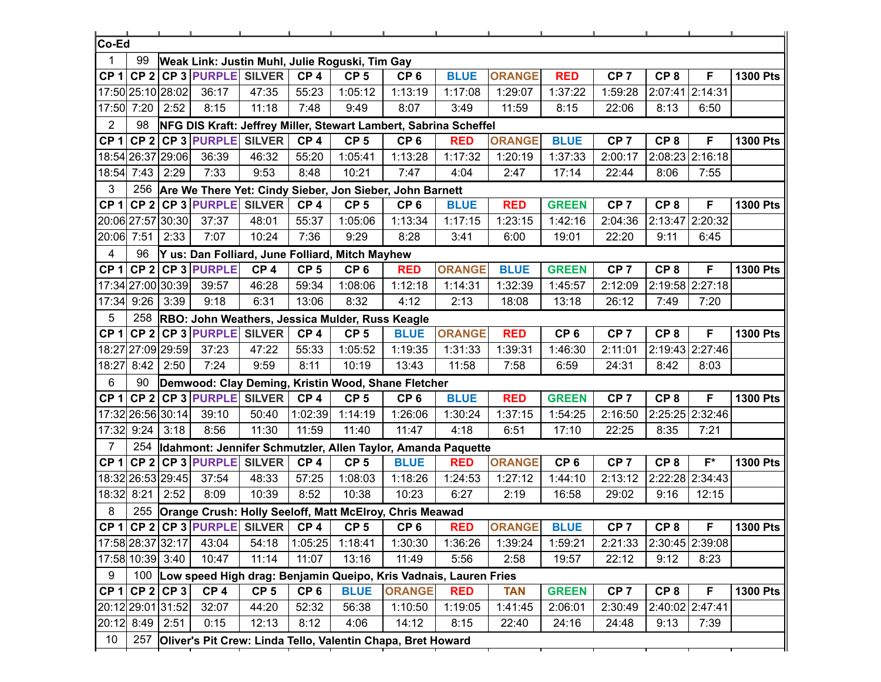| ∣Co-Ed            |            |                   |                         |                 |                 |                                                     |                                                                      |               |               |                 |                 |                 |                 |                 |
|-------------------|------------|-------------------|-------------------------|-----------------|-----------------|-----------------------------------------------------|----------------------------------------------------------------------|---------------|---------------|-----------------|-----------------|-----------------|-----------------|-----------------|
| 1                 | 99         |                   |                         |                 |                 | Weak Link: Justin Muhl, Julie Roguski, Tim Gay      |                                                                      |               |               |                 |                 |                 |                 |                 |
| CP <sub>1</sub>   |            |                   | CP 2 CP 3 PURPLE SILVER |                 | CP <sub>4</sub> | CP <sub>5</sub>                                     | CP <sub>6</sub>                                                      | <b>BLUE</b>   | <b>ORANGE</b> | <b>RED</b>      | CP <sub>7</sub> | CP <sub>8</sub> | F               | <b>1300 Pts</b> |
|                   |            | 17:50 25:10 28:02 | 36:17                   | 47:35           | 55:23           | 1:05:12                                             | 1:13:19                                                              | 1:17:08       | 1:29:07       | 1:37:22         | 1:59:28         |                 | 2:07:41 2:14:31 |                 |
| 17:50             | 7:20       | 2:52              | 8:15                    | 11:18           | 7:48            | 9:49                                                | 8:07                                                                 | 3:49          | 11:59         | 8:15            | 22:06           | 8:13            | 6:50            |                 |
| $\overline{2}$    | 98         |                   |                         |                 |                 |                                                     | NFG DIS Kraft: Jeffrey Miller, Stewart Lambert, Sabrina Scheffel     |               |               |                 |                 |                 |                 |                 |
| CP <sub>1</sub>   |            |                   | CP 2 CP 3 PURPLE SILVER |                 | CP <sub>4</sub> | CP <sub>5</sub>                                     | CP <sub>6</sub>                                                      | <b>RED</b>    | <b>ORANGE</b> | <b>BLUE</b>     | CP <sub>7</sub> | CP <sub>8</sub> | F               | <b>1300 Pts</b> |
|                   |            | 18:54 26:37 29:06 | 36:39                   | 46:32           | 55:20           | 1:05:41                                             | 1:13:28                                                              | 1:17:32       | 1:20:19       | 1:37:33         | 2:00:17         |                 | 2:08:23 2:16:18 |                 |
| 18:54             | 7:43       | 2:29              | 7:33                    | 9:53            | 8:48            | 10:21                                               | 7:47                                                                 | 4:04          | 2:47          | 17:14           | 22:44           | 8:06            | 7:55            |                 |
| 3                 | 256        |                   |                         |                 |                 |                                                     | Are We There Yet: Cindy Sieber, Jon Sieber, John Barnett             |               |               |                 |                 |                 |                 |                 |
| CP <sub>1</sub>   |            |                   | CP 2 CP 3 PURPLE SILVER |                 | CP <sub>4</sub> | CP <sub>5</sub>                                     | CP <sub>6</sub>                                                      | <b>BLUE</b>   | <b>RED</b>    | <b>GREEN</b>    | CP <sub>7</sub> | CP <sub>8</sub> | F               | <b>1300 Pts</b> |
|                   |            | 20:06 27:57 30:30 | 37:37                   | 48:01           | 55:37           | 1:05:06                                             | 1:13:34                                                              | 1:17:15       | 1:23:15       | 1:42:16         | 2:04:36         | 2:13:47         | 2:20:32         |                 |
| 20:06 7:51        |            | 2:33              | 7:07                    | 10:24           | 7:36            | 9:29                                                | 8:28                                                                 | 3:41          | 6:00          | 19:01           | 22:20           | 9:11            | 6:45            |                 |
| 4                 | 96         |                   |                         |                 |                 | Y us: Dan Folliard, June Folliard, Mitch Mayhew     |                                                                      |               |               |                 |                 |                 |                 |                 |
| CP <sub>1</sub>   |            |                   | CP 2 CP 3 PURPLE        | CP <sub>4</sub> | CP <sub>5</sub> | CP <sub>6</sub>                                     | <b>RED</b>                                                           | <b>ORANGE</b> | <b>BLUE</b>   | <b>GREEN</b>    | CP <sub>7</sub> | CP <sub>8</sub> | F               | <b>1300 Pts</b> |
|                   |            | 17:34 27:00 30:39 | 39:57                   | 46:28           | 59:34           | 1:08:06                                             | 1:12:18                                                              | 1:14:31       | 1:32:39       | 1:45:57         | 2:12:09         |                 | 2:19:58 2:27:18 |                 |
| 17:34             | 9:26       | 3:39              | 9:18                    | 6:31            | 13:06           | 8:32                                                | 4:12                                                                 | 2:13          | 18:08         | 13:18           | 26:12           | 7:49            | 7:20            |                 |
| 5                 |            |                   |                         |                 |                 | 258 RBO: John Weathers, Jessica Mulder, Russ Keagle |                                                                      |               |               |                 |                 |                 |                 |                 |
| CP <sub>1</sub>   |            |                   | $CP$ 2 CP 3 PURPLE      | <b>SILVER</b>   | CP <sub>4</sub> | CP <sub>5</sub>                                     | <b>BLUE</b>                                                          | <b>ORANGE</b> | <b>RED</b>    | CP <sub>6</sub> | CP <sub>7</sub> | CP <sub>8</sub> | F               | <b>1300 Pts</b> |
| 18:27             |            | 27:09 29:59       | 37:23                   | 47:22           | 55:33           | 1:05:52                                             | 1:19:35                                                              | 1:31:33       | 1:39:31       | 1:46:30         | 2:11:01         |                 | 2:19:43 2:27:46 |                 |
| 18:27             | 8:42       | 2:50              | 7:24                    | 9:59            | 8:11            | 10:19                                               | 13:43                                                                | 11:58         | 7:58          | 6:59            | 24:31           | 8:42            | 8:03            |                 |
| 6                 | 90         |                   |                         |                 |                 |                                                     | Demwood: Clay Deming, Kristin Wood, Shane Fletcher                   |               |               |                 |                 |                 |                 |                 |
| CP <sub>1</sub>   |            |                   | CP 2 CP 3 PURPLE        | <b>SILVER</b>   | CP <sub>4</sub> | CP <sub>5</sub>                                     | CP <sub>6</sub>                                                      | <b>BLUE</b>   | <b>RED</b>    | <b>GREEN</b>    | CP <sub>7</sub> | CP <sub>8</sub> | F               | <b>1300 Pts</b> |
|                   |            | 17:32 26:56 30:14 | 39:10                   | 50:40           | 1:02:39         | 1:14:19                                             | 1:26:06                                                              | 1:30:24       | 1:37:15       | 1:54:25         | 2:16:50         |                 | 2:25:25 2:32:46 |                 |
| 17:32             | 9:24       | 3:18              | 8:56                    | 11:30           | 11:59           | 11:40                                               | 11:47                                                                | 4:18          | 6:51          | 17:10           | 22:25           | 8:35            | 7:21            |                 |
| $\overline{7}$    | 254        |                   |                         |                 |                 |                                                     | Idahmont: Jennifer Schmutzler, Allen Taylor, Amanda Paquette         |               |               |                 |                 |                 |                 |                 |
| CP <sub>1</sub>   |            |                   | CP 2 CP 3 PURPLE SILVER |                 | CP <sub>4</sub> | CP <sub>5</sub>                                     | <b>BLUE</b>                                                          | <b>RED</b>    | <b>ORANGE</b> | CP <sub>6</sub> | CP <sub>7</sub> | CP <sub>8</sub> | $F^*$           | <b>1300 Pts</b> |
|                   |            | 18:32 26:53 29:45 | 37:54                   | 48:33           | 57:25           | 1:08:03                                             | 1:18:26                                                              | 1:24:53       | 1:27:12       | 1:44:10         | 2:13:12         |                 | 2:22:28 2:34:43 |                 |
|                   | 18:32 8:21 | 2:52              | 8:09                    | 10:39           | 8:52            | 10:38                                               | 10:23                                                                | 6:27          | 2:19          | 16:58           | 29:02           | 9:16            | 12:15           |                 |
| 8                 |            |                   |                         |                 |                 |                                                     | 255 Orange Crush: Holly Seeloff, Matt McElroy, Chris Meawad          |               |               |                 |                 |                 |                 |                 |
|                   |            |                   |                         |                 |                 | CP 1 CP 2 CP 3 PURPLE SILVER CP 4 CP 5              | CP <sub>6</sub>                                                      | <b>RED</b>    | <b>ORANGE</b> | <b>BLUE</b>     | CP <sub>7</sub> | CP <sub>8</sub> | $\overline{F}$  | 1300 Pts        |
| 17:58 28:37 32:17 |            |                   | 43:04                   | 54:18           | 1:05:25         | 1:18:41                                             | 1:30:30                                                              | 1:36:26       | 1:39:24       | 1:59:21         | 2:21:33         |                 | 2:30:45 2:39:08 |                 |
|                   |            | 17:58 10:39 3:40  | 10:47                   | 11:14           | 11:07           | 13:16                                               | 11:49                                                                | 5:56          | 2:58          | 19:57           | 22:12           | 9:12            | 8:23            |                 |
| 9                 |            |                   |                         |                 |                 |                                                     | 100 Low speed High drag: Benjamin Queipo, Kris Vadnais, Lauren Fries |               |               |                 |                 |                 |                 |                 |
|                   |            | $CP 1$ CP 2 CP 3  | CP <sub>4</sub>         | CP <sub>5</sub> | CP <sub>6</sub> | <b>BLUE</b>                                         | <b>ORANGE</b>                                                        | <b>RED</b>    | <b>TAN</b>    | <b>GREEN</b>    | CP <sub>7</sub> | CP <sub>8</sub> | F               | <b>1300 Pts</b> |
|                   |            | 20:12 29:01 31:52 | 32:07                   | 44:20           | 52:32           | 56:38                                               | 1:10:50                                                              | 1:19:05       | 1:41:45       | 2:06:01         | 2:30:49         |                 | 2:40:02 2:47:41 |                 |
|                   | 20:12 8:49 | 2:51              | 0:15                    | 12:13           | 8:12            | 4:06                                                | 14:12                                                                | 8:15          | 22:40         | 24:16           | 24:48           | 9:13            | 7:39            |                 |
| 10                |            |                   |                         |                 |                 |                                                     | 257 Oliver's Pit Crew: Linda Tello, Valentin Chapa, Bret Howard      |               |               |                 |                 |                 |                 |                 |
|                   |            |                   |                         |                 |                 |                                                     |                                                                      |               |               |                 |                 |                 |                 |                 |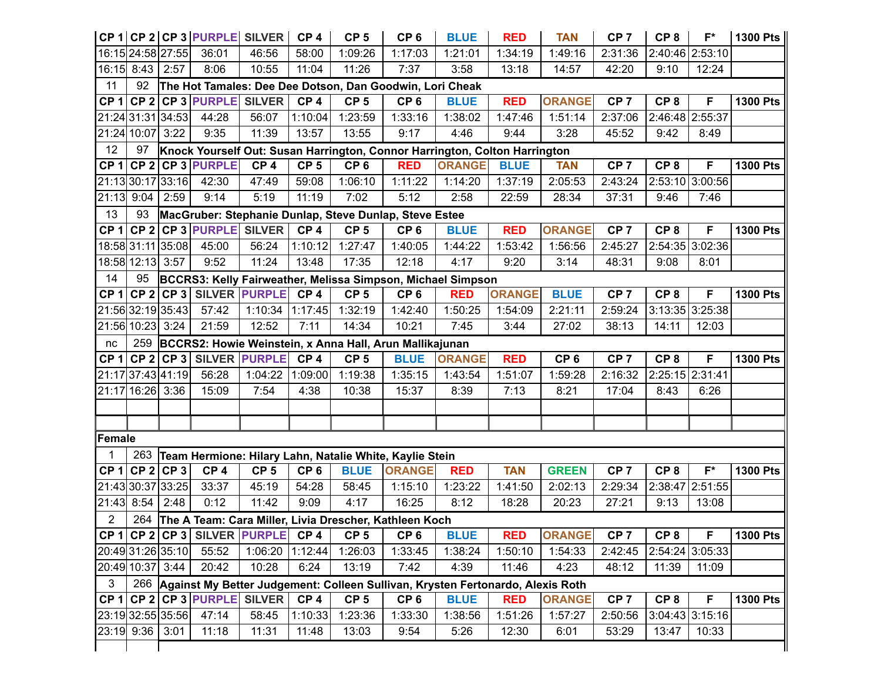|                   |                   |             | CP 1 CP 2 CP 3 PURPLE SILVER      |                      | CP <sub>4</sub> | CP <sub>5</sub> | CP <sub>6</sub>                                                                    | <b>BLUE</b>   | <b>RED</b>    | <b>TAN</b>      | CP <sub>7</sub> | CP <sub>8</sub> | $F^*$             | 1300 Pts        |
|-------------------|-------------------|-------------|-----------------------------------|----------------------|-----------------|-----------------|------------------------------------------------------------------------------------|---------------|---------------|-----------------|-----------------|-----------------|-------------------|-----------------|
|                   | 16:15 24:58 27:55 |             | 36:01                             | 46:56                | 58:00           | 1:09:26         | 1:17:03                                                                            | 1:21:01       | 1:34:19       | 1:49:16         | 2:31:36         |                 | 2:40:46 2:53:10   |                 |
|                   | 16:15 8:43        | 2:57        | 8:06                              | 10:55                | 11:04           | 11:26           | 7:37                                                                               | 3:58          | 13:18         | 14:57           | 42:20           | 9:10            | 12:24             |                 |
| 11                | 92                |             |                                   |                      |                 |                 | The Hot Tamales: Dee Dee Dotson, Dan Goodwin, Lori Cheak                           |               |               |                 |                 |                 |                   |                 |
| CP <sub>1</sub>   |                   |             | CP 2 CP 3 PURPLE SILVER           |                      | CP <sub>4</sub> | CP <sub>5</sub> | CP <sub>6</sub>                                                                    | <b>BLUE</b>   | <b>RED</b>    | <b>ORANGE</b>   | CP <sub>7</sub> | CP <sub>8</sub> | F                 | <b>1300 Pts</b> |
|                   | 21:24 31:31 34:53 |             | 44:28                             | 56:07                | 1:10:04         | 1:23:59         | 1:33:16                                                                            | 1:38:02       | 1:47:46       | 1:51:14         | 2:37:06         |                 | 2:46:48 2:55:37   |                 |
|                   | 21:24 10:07 3:22  |             | 9:35                              | 11:39                | 13:57           | 13:55           | 9:17                                                                               | 4:46          | 9:44          | 3:28            | 45:52           | 9:42            | 8:49              |                 |
| 12                | 97                |             |                                   |                      |                 |                 | Knock Yourself Out: Susan Harrington, Connor Harrington, Colton Harrington         |               |               |                 |                 |                 |                   |                 |
| CP <sub>1</sub>   |                   |             | $CP$ 2 CP 3 PURPLE                | CP <sub>4</sub>      | CP <sub>5</sub> | CP <sub>6</sub> | <b>RED</b>                                                                         | <b>ORANGE</b> | <b>BLUE</b>   | <b>TAN</b>      | CP <sub>7</sub> | CP <sub>8</sub> | F                 | <b>1300 Pts</b> |
|                   | 21:13 30:17 33:16 |             | 42:30                             | 47:49                | 59:08           | 1:06:10         | 1:11:22                                                                            | 1:14:20       | 1:37:19       | 2:05:53         | 2:43:24         |                 | 2:53:10 3:00:56   |                 |
| 21:13             | 9:04              | 2:59        | 9:14                              | 5:19                 | 11:19           | 7:02            | 5:12                                                                               | 2:58          | 22:59         | 28:34           | 37:31           | 9:46            | 7:46              |                 |
| 13                | 93                |             |                                   |                      |                 |                 | MacGruber: Stephanie Dunlap, Steve Dunlap, Steve Estee                             |               |               |                 |                 |                 |                   |                 |
|                   |                   |             | $CP 1$ CP 2 CP 3 PURPLE SILVER    |                      | CP <sub>4</sub> | CP <sub>5</sub> | CP <sub>6</sub>                                                                    | <b>BLUE</b>   | <b>RED</b>    | <b>ORANGE</b>   | CP <sub>7</sub> | CP <sub>8</sub> | F                 | <b>1300 Pts</b> |
|                   | 18:58 31:11 35:08 |             | 45:00                             | 56:24                | 1:10:12         | 1:27:47         | 1:40:05                                                                            | 1:44:22       | 1:53:42       | 1:56:56         | 2:45:27         |                 | 2:54:35 3:02:36   |                 |
|                   | 18:58 12:13 3:57  |             | 9:52                              | 11:24                | 13:48           | 17:35           | 12:18                                                                              | 4:17          | 9:20          | 3:14            | 48:31           | 9:08            | 8:01              |                 |
| 14                | 95                |             |                                   |                      |                 |                 | BCCRS3: Kelly Fairweather, Melissa Simpson, Michael Simpson                        |               |               |                 |                 |                 |                   |                 |
| CP <sub>1</sub>   |                   | $CP 2$ CP 3 |                                   | <b>SILVER PURPLE</b> | CP <sub>4</sub> | CP <sub>5</sub> | CP <sub>6</sub>                                                                    | <b>RED</b>    | <b>ORANGE</b> | <b>BLUE</b>     | CP <sub>7</sub> | CP <sub>8</sub> | F                 | <b>1300 Pts</b> |
|                   | 21:56 32:19 35:43 |             | 57:42                             | 1:10:34              | 1:17:45         | 1:32:19         | 1:42:40                                                                            | 1:50:25       | 1:54:09       | 2:21:11         | 2:59:24         |                 | 3:13:35 3:25:38   |                 |
|                   | 21:56 10:23 3:24  |             | 21:59                             | 12:52                | 7:11            | 14:34           | 10:21                                                                              | 7:45          | 3:44          | 27:02           | 38:13           | 14:11           | 12:03             |                 |
| nc                | 259               |             |                                   |                      |                 |                 | BCCRS2: Howie Weinstein, x Anna Hall, Arun Mallikajunan                            |               |               |                 |                 |                 |                   |                 |
| CP 1              |                   |             | CP 2 CP 3 SILVER PURPLE           |                      | CP <sub>4</sub> | CP <sub>5</sub> | <b>BLUE</b>                                                                        | <b>ORANGE</b> | <b>RED</b>    | CP <sub>6</sub> | CP <sub>7</sub> | CP <sub>8</sub> | F                 | <b>1300 Pts</b> |
|                   | 21:17 37:43 41:19 |             | 56:28                             | 1:04:22              | 1:09:00         | 1:19:38         | 1:35:15                                                                            | 1:43:54       | 1:51:07       | 1:59:28         | 2:16:32         | 2:25:15 2:31:41 |                   |                 |
|                   | 21:17 16:26 3:36  |             | 15:09                             | 7:54                 | 4:38            | 10:38           | 15:37                                                                              | 8:39          | 7:13          | 8:21            | 17:04           | 8:43            | 6:26              |                 |
|                   |                   |             |                                   |                      |                 |                 |                                                                                    |               |               |                 |                 |                 |                   |                 |
|                   |                   |             |                                   |                      |                 |                 |                                                                                    |               |               |                 |                 |                 |                   |                 |
| Female            |                   |             |                                   |                      |                 |                 |                                                                                    |               |               |                 |                 |                 |                   |                 |
| 1                 | 263               |             |                                   |                      |                 |                 | Team Hermione: Hilary Lahn, Natalie White, Kaylie Stein                            |               |               |                 |                 |                 |                   |                 |
| CP <sub>1</sub>   |                   | $CP 2$ CP 3 | CP <sub>4</sub>                   | CP <sub>5</sub>      | CP <sub>6</sub> | <b>BLUE</b>     | <b>ORANGE</b>                                                                      | <b>RED</b>    | <b>TAN</b>    | <b>GREEN</b>    | CP <sub>7</sub> | CP <sub>8</sub> | $F^*$             | <b>1300 Pts</b> |
|                   | 21:43 30:37 33:25 |             | 33:37                             | 45:19                | 54:28           | 58:45           | 1:15:10                                                                            | 1:23:22       | 1:41:50       | 2:02:13         | 2:29:34         |                 | 2:38:47 2:51:55   |                 |
| 21:43             | 8:54              | 2:48        | 0:12                              | 11:42                | 9:09            | 4:17            | 16:25                                                                              | 8:12          | 18:28         | 20:23           | 27:21           | 9:13            | 13:08             |                 |
| $\overline{2}$    |                   |             |                                   |                      |                 |                 | 264 The A Team: Cara Miller, Livia Drescher, Kathleen Koch                         |               |               |                 |                 |                 |                   |                 |
|                   |                   |             | CP 1 CP 2 CP 3 SILVER PURPLE CP 4 |                      |                 | CP <sub>5</sub> | CP <sub>6</sub>                                                                    | <b>BLUE</b>   | <b>RED</b>    | <b>ORANGE</b>   | CP <sub>7</sub> | CP <sub>8</sub> | F                 | <b>1300 Pts</b> |
|                   | 20:49 31:26 35:10 |             | 55:52                             | 1:06:20 1:12:44      |                 | 1:26:03         | 1:33:45                                                                            | 1:38:24       | 1:50:10       | 1:54:33         | 2:42:45         |                 | 2:54:24 3:05:33   |                 |
|                   | 20:49 10:37 3:44  |             | 20:42                             | 10:28                | 6:24            | 13:19           | 7:42                                                                               | 4:39          | 11:46         | 4:23            | 48:12           | 11:39           | 11:09             |                 |
| $\mathbf{3}$      |                   |             |                                   |                      |                 |                 | 266 Against My Better Judgement: Colleen Sullivan, Krysten Fertonardo, Alexis Roth |               |               |                 |                 |                 |                   |                 |
|                   |                   |             | CP 1 CP 2 CP 3 PURPLE SILVER      |                      | CP <sub>4</sub> | CP <sub>5</sub> | CP <sub>6</sub>                                                                    | <b>BLUE</b>   | <b>RED</b>    | <b>ORANGE</b>   | CP <sub>7</sub> | CP <sub>8</sub> | F                 | <b>1300 Pts</b> |
| 23:19 32:55 35:56 |                   |             | 47:14                             | 58:45                | 1:10:33         | 1:23:36         | 1:33:30                                                                            | 1:38:56       | 1:51:26       | 1:57:27         | 2:50:56         |                 | $3:04:43$ 3:15:16 |                 |
|                   |                   |             |                                   |                      |                 |                 |                                                                                    |               |               |                 |                 |                 |                   |                 |
|                   | 23:19 9:36 3:01   |             | 11:18                             | 11:31                | 11:48           | 13:03           | 9:54                                                                               | 5:26          | 12:30         | 6:01            | 53:29           | 13:47           | 10:33             |                 |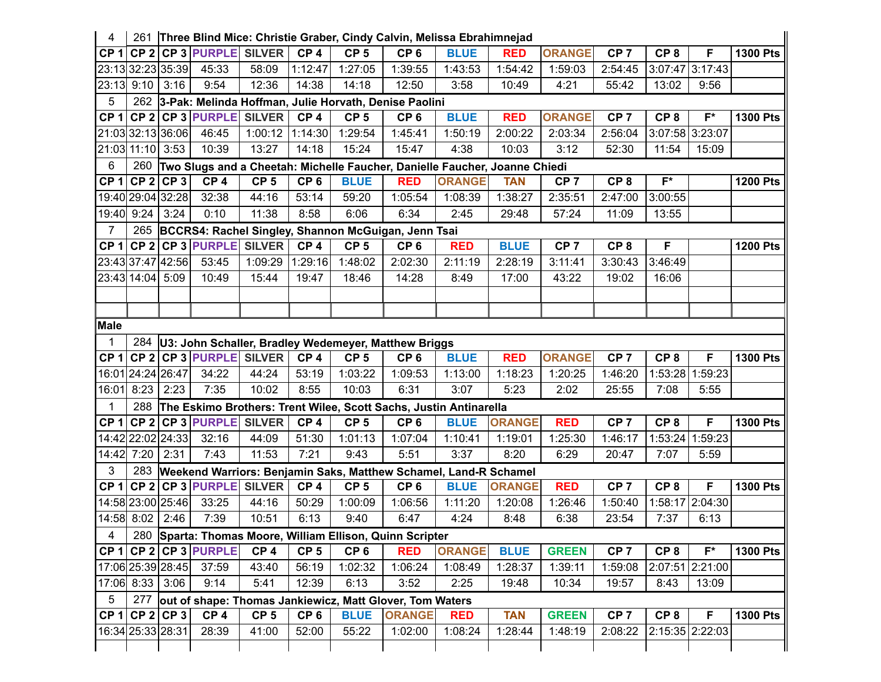| 4               |                    |              |                                |                 |                 | 261   Three Blind Mice: Christie Graber, Cindy Calvin, Melissa Ebrahimnejad |                                                                            |               |               |                 |                 |                 |                 |                 |
|-----------------|--------------------|--------------|--------------------------------|-----------------|-----------------|-----------------------------------------------------------------------------|----------------------------------------------------------------------------|---------------|---------------|-----------------|-----------------|-----------------|-----------------|-----------------|
| CP <sub>1</sub> |                    |              | <b>CP 2 CP 3 PURPLE SILVER</b> |                 | CP <sub>4</sub> | CP <sub>5</sub>                                                             | CP <sub>6</sub>                                                            | <b>BLUE</b>   | <b>RED</b>    | <b>ORANGE</b>   | CP <sub>7</sub> | CP <sub>8</sub> | F               | <b>1300 Pts</b> |
|                 | 23:13 32:23 35:39  |              | 45:33                          | 58:09           | 1:12:47         | 1:27:05                                                                     | 1:39:55                                                                    | 1:43:53       | 1:54:42       | 1:59:03         | 2:54:45         |                 | 3:07:47 3:17:43 |                 |
| 23:13           | 9:10               | 3:16         | 9:54                           | 12:36           | 14:38           | 14:18                                                                       | 12:50                                                                      | 3:58          | 10:49         | 4:21            | 55:42           | 13:02           | 9:56            |                 |
| 5               | 262                |              |                                |                 |                 |                                                                             | 3-Pak: Melinda Hoffman, Julie Horvath, Denise Paolini                      |               |               |                 |                 |                 |                 |                 |
| CP <sub>1</sub> |                    |              | CP 2 CP 3 PURPLE SILVER        |                 | CP <sub>4</sub> | CP <sub>5</sub>                                                             | CP <sub>6</sub>                                                            | <b>BLUE</b>   | <b>RED</b>    | <b>ORANGE</b>   | CP <sub>7</sub> | CP <sub>8</sub> | $F^*$           | <b>1300 Pts</b> |
|                 | 21:03 32:13 36:06  |              | 46:45                          | 1:00:12 1:14:30 |                 | 1:29:54                                                                     | 1:45:41                                                                    | 1:50:19       | 2:00:22       | 2:03:34         | 2:56:04         | 3:07:58 3:23:07 |                 |                 |
| 21:03           |                    | $11:10$ 3:53 | 10:39                          | 13:27           | 14:18           | 15:24                                                                       | 15:47                                                                      | 4:38          | 10:03         | 3:12            | 52:30           | 11:54           | 15:09           |                 |
| 6               | 260                |              |                                |                 |                 |                                                                             | Two Slugs and a Cheetah: Michelle Faucher, Danielle Faucher, Joanne Chiedi |               |               |                 |                 |                 |                 |                 |
| CP <sub>1</sub> |                    | $CP 2$ CP 3  | CP <sub>4</sub>                | CP <sub>5</sub> | CP <sub>6</sub> | <b>BLUE</b>                                                                 | <b>RED</b>                                                                 | <b>ORANGE</b> | <b>TAN</b>    | CP <sub>7</sub> | CP <sub>8</sub> | $F^*$           |                 | <b>1200 Pts</b> |
|                 | 19:40 29:04 32:28  |              | 32:38                          | 44:16           | 53:14           | 59:20                                                                       | 1:05:54                                                                    | 1:08:39       | 1:38:27       | 2:35:51         | 2:47:00         | 3:00:55         |                 |                 |
| 19:40           | 9:24               | 3:24         | 0:10                           | 11:38           | 8:58            | 6:06                                                                        | 6:34                                                                       | 2:45          | 29:48         | 57:24           | 11:09           | 13:55           |                 |                 |
| 7               | 265                |              |                                |                 |                 |                                                                             | BCCRS4: Rachel Singley, Shannon McGuigan, Jenn Tsai                        |               |               |                 |                 |                 |                 |                 |
| CP <sub>1</sub> |                    |              | $CP$ 2 CP 3 PURPLE             | <b>SILVER</b>   | CP <sub>4</sub> | CP <sub>5</sub>                                                             | CP <sub>6</sub>                                                            | <b>RED</b>    | <b>BLUE</b>   | CP <sub>7</sub> | CP <sub>8</sub> | F               |                 | <b>1200 Pts</b> |
|                 | 23:43 37:47 42:56  |              | 53:45                          | 1:09:29         | 1:29:16         | 1:48:02                                                                     | 2:02:30                                                                    | 2:11:19       | 2:28:19       | 3:11:41         | 3:30:43         | 3:46:49         |                 |                 |
|                 | 23:43 14:04 5:09   |              | 10:49                          | 15:44           | 19:47           | 18:46                                                                       | 14:28                                                                      | 8:49          | 17:00         | 43:22           | 19:02           | 16:06           |                 |                 |
|                 |                    |              |                                |                 |                 |                                                                             |                                                                            |               |               |                 |                 |                 |                 |                 |
|                 |                    |              |                                |                 |                 |                                                                             |                                                                            |               |               |                 |                 |                 |                 |                 |
| <b>Male</b>     |                    |              |                                |                 |                 |                                                                             |                                                                            |               |               |                 |                 |                 |                 |                 |
| $\mathbf 1$     |                    |              |                                |                 |                 |                                                                             | 284 U3: John Schaller, Bradley Wedemeyer, Matthew Briggs                   |               |               |                 |                 |                 |                 |                 |
|                 |                    |              |                                |                 |                 |                                                                             |                                                                            |               |               |                 |                 |                 |                 |                 |
| CP <sub>1</sub> |                    |              | CP 2 CP 3 PURPLE SILVER        |                 | CP <sub>4</sub> | CP <sub>5</sub>                                                             | CP <sub>6</sub>                                                            | <b>BLUE</b>   | <b>RED</b>    | <b>ORANGE</b>   | CP <sub>7</sub> | CP <sub>8</sub> | F               | <b>1300 Pts</b> |
|                 | 16:01 24:24 26:47  |              | 34:22                          | 44:24           | 53:19           | 1:03:22                                                                     | 1:09:53                                                                    | 1:13:00       | 1:18:23       | 1:20:25         | 1:46:20         | 1:53:28         | 1:59:23         |                 |
| 16:01           | 8:23               | 2:23         | 7:35                           | 10:02           | 8:55            | 10:03                                                                       | 6:31                                                                       | 3:07          | 5:23          | 2:02            | 25:55           | 7:08            | 5:55            |                 |
| $\mathbf 1$     | 288                |              |                                |                 |                 |                                                                             | The Eskimo Brothers: Trent Wilee, Scott Sachs, Justin Antinarella          |               |               |                 |                 |                 |                 |                 |
| CP <sub>1</sub> |                    |              | CP 2 CP 3 PURPLE SILVER        |                 | CP <sub>4</sub> | CP <sub>5</sub>                                                             | CP <sub>6</sub>                                                            | <b>BLUE</b>   | <b>ORANGE</b> | <b>RED</b>      | CP <sub>7</sub> | CP <sub>8</sub> | F               | <b>1300 Pts</b> |
|                 | 14:42 22:02 24:33  |              | 32:16                          | 44:09           | 51:30           | 1:01:13                                                                     | 1:07:04                                                                    | 1:10:41       | 1:19:01       | 1:25:30         | 1:46:17         | 1:53:24         | 1:59:23         |                 |
| 14:42           | 7:20               | 2:31         | 7:43                           | 11:53           | 7:21            | 9:43                                                                        | 5:51                                                                       | 3:37          | 8:20          | 6:29            | 20:47           | 7:07            | 5:59            |                 |
| 3               | 283                |              |                                |                 |                 |                                                                             | Weekend Warriors: Benjamin Saks, Matthew Schamel, Land-R Schamel           |               |               |                 |                 |                 |                 |                 |
| CP <sub>1</sub> |                    |              | CP 2 CP 3 PURPLE               | <b>SILVER</b>   | CP <sub>4</sub> | CP <sub>5</sub>                                                             | CP <sub>6</sub>                                                            | <b>BLUE</b>   | <b>ORANGE</b> | <b>RED</b>      | CP <sub>7</sub> | CP <sub>8</sub> | F               | <b>1300 Pts</b> |
|                 | 14:58 23:00 25:46  |              | 33:25                          | 44:16           | 50:29           | 1:00:09                                                                     | 1:06:56                                                                    | 1:11:20       | 1:20:08       | 1:26:46         | 1:50:40         |                 | 1:58:17 2:04:30 |                 |
|                 | 14:58 8:02 2:46    |              | 7:39                           | 10:51           | 6:13            | 9:40                                                                        | 6:47                                                                       | 4:24          | 8:48          | 6:38            | 23:54           | 7:37            | 6:13            |                 |
| 4               |                    |              |                                |                 |                 |                                                                             | 280 Sparta: Thomas Moore, William Ellison, Quinn Scripter                  |               |               |                 |                 |                 |                 |                 |
| CP 1            |                    |              | CP 2 CP 3 PURPLE               | CP <sub>4</sub> | CP <sub>5</sub> | CP <sub>6</sub>                                                             | <b>RED</b>                                                                 | <b>ORANGE</b> | <b>BLUE</b>   | <b>GREEN</b>    | CP <sub>7</sub> | CP <sub>8</sub> | $F^*$           | <b>1300 Pts</b> |
|                 | 17:06 25:39 28:45  |              | 37:59                          | 43:40           | 56:19           | 1:02:32                                                                     | 1:06:24                                                                    | 1:08:49       | 1:28:37       | 1:39:11         | 1:59:08         |                 | 2:07:51 2:21:00 |                 |
| 17:06           |                    | $8:33$ 3:06  | 9:14                           | 5:41            | 12:39           | 6:13                                                                        | 3:52                                                                       | 2:25          | 19:48         | 10:34           | 19:57           | 8:43            | 13:09           |                 |
| 5               | 277                |              |                                |                 |                 |                                                                             | out of shape: Thomas Jankiewicz, Matt Glover, Tom Waters                   |               |               |                 |                 |                 |                 |                 |
|                 | $CP 1$ CP $2$ CP 3 |              | CP <sub>4</sub>                | CP <sub>5</sub> | CP <sub>6</sub> | <b>BLUE</b>                                                                 | <b>ORANGE</b>                                                              | <b>RED</b>    | <b>TAN</b>    | <b>GREEN</b>    | CP <sub>7</sub> | CP <sub>8</sub> | F               | <b>1300 Pts</b> |
|                 | 16:34 25:33 28:31  |              | 28:39                          | 41:00           | 52:00           | 55:22                                                                       | 1:02:00                                                                    | 1:08:24       | 1:28:44       | 1:48:19         | 2:08:22         |                 | 2:15:35 2:22:03 |                 |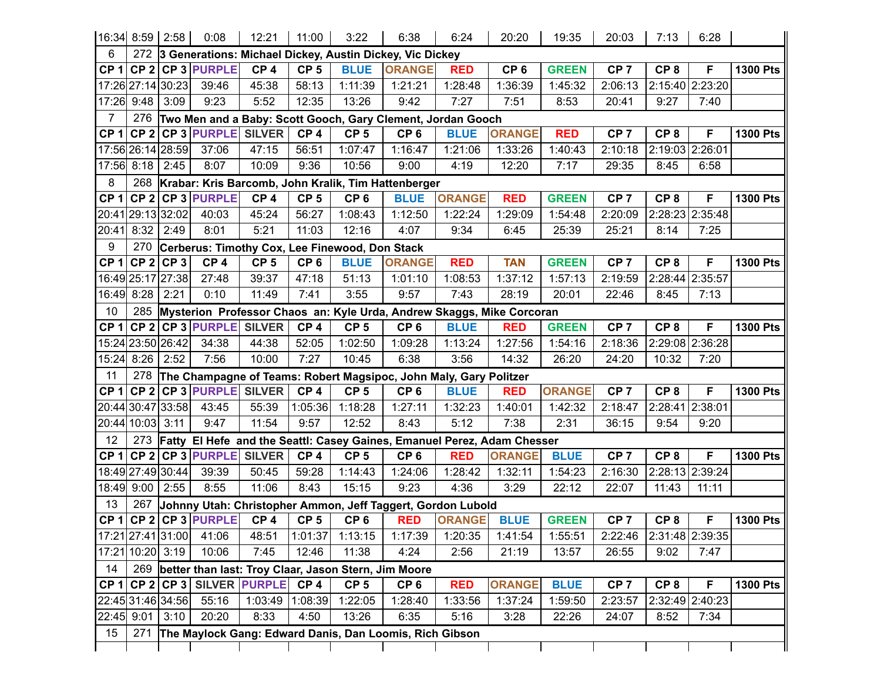| 16:34 8:59 2:58 |                   |                                                          | 0:08                                                                  | 12:21           | 11:00           | 3:22            | 6:38                                                                    | 6:24          | 20:20           | 19:35         | 20:03           | 7:13            | 6:28            |                 |
|-----------------|-------------------|----------------------------------------------------------|-----------------------------------------------------------------------|-----------------|-----------------|-----------------|-------------------------------------------------------------------------|---------------|-----------------|---------------|-----------------|-----------------|-----------------|-----------------|
| 6               | 272               | 3 Generations: Michael Dickey, Austin Dickey, Vic Dickey |                                                                       |                 |                 |                 |                                                                         |               |                 |               |                 |                 |                 |                 |
| CP <sub>1</sub> |                   |                                                          | $CP$ 2 CP 3 PURPLE                                                    | CP <sub>4</sub> | CP <sub>5</sub> | <b>BLUE</b>     | <b>ORANGE</b>                                                           | <b>RED</b>    | CP <sub>6</sub> | <b>GREEN</b>  | CP <sub>7</sub> | CP <sub>8</sub> | F               | <b>1300 Pts</b> |
|                 |                   | 17:26 27:14 30:23                                        | 39:46                                                                 | 45:38           | 58:13           | 1:11:39         | 1:21:21                                                                 | 1:28:48       | 1:36:39         | 1:45:32       | 2:06:13         |                 | 2:15:40 2:23:20 |                 |
|                 | 17:26 9:48        | 3:09                                                     | 9:23                                                                  | 5:52            | 12:35           | 13:26           | 9:42                                                                    | 7:27          | 7:51            | 8:53          | 20:41           | 9:27            | 7:40            |                 |
| $\overline{7}$  | 276               |                                                          |                                                                       |                 |                 |                 | Two Men and a Baby: Scott Gooch, Gary Clement, Jordan Gooch             |               |                 |               |                 |                 |                 |                 |
| CP <sub>1</sub> |                   |                                                          | CP 2 CP 3 PURPLE SILVER                                               |                 | CP <sub>4</sub> | CP <sub>5</sub> | CP <sub>6</sub>                                                         | <b>BLUE</b>   | <b>ORANGE</b>   | <b>RED</b>    | CP <sub>7</sub> | CP <sub>8</sub> | F               | <b>1300 Pts</b> |
|                 | 17:56 26:14 28:59 |                                                          | 37:06                                                                 | 47:15           | 56:51           | 1:07:47         | 1:16:47                                                                 | 1:21:06       | 1:33:26         | 1:40:43       | 2:10:18         | 2:19:03 2:26:01 |                 |                 |
|                 | 17:56 8:18        | 2:45                                                     | 8:07                                                                  | 10:09           | 9:36            | 10:56           | 9:00                                                                    | 4:19          | 12:20           | 7:17          | 29:35           | 8:45            | 6:58            |                 |
| 8               |                   |                                                          | 268 Krabar: Kris Barcomb, John Kralik, Tim Hattenberger               |                 |                 |                 |                                                                         |               |                 |               |                 |                 |                 |                 |
| CP <sub>1</sub> |                   |                                                          | $CP$ 2 CP 3 PURPLE                                                    | CP <sub>4</sub> | CP <sub>5</sub> | CP <sub>6</sub> | <b>BLUE</b>                                                             | <b>ORANGE</b> | <b>RED</b>      | <b>GREEN</b>  | CP <sub>7</sub> | CP <sub>8</sub> | F               | <b>1300 Pts</b> |
|                 | 20:41 29:13 32:02 |                                                          | 40:03                                                                 | 45:24           | 56:27           | 1:08:43         | 1:12:50                                                                 | 1:22:24       | 1:29:09         | 1:54:48       | 2:20:09         |                 | 2:28:23 2:35:48 |                 |
| 20:41           | 8:32              | 2:49                                                     | 8:01                                                                  | 5:21            | 11:03           | 12:16           | 4:07                                                                    | 9:34          | 6:45            | 25:39         | 25:21           | 8:14            | 7:25            |                 |
| 9               | 270               | Cerberus: Timothy Cox, Lee Finewood, Don Stack           |                                                                       |                 |                 |                 |                                                                         |               |                 |               |                 |                 |                 |                 |
| CP <sub>1</sub> |                   | $CP 2$ CP 3                                              | CP <sub>4</sub>                                                       | CP <sub>5</sub> | CP <sub>6</sub> | <b>BLUE</b>     | <b>ORANGE</b>                                                           | <b>RED</b>    | <b>TAN</b>      | <b>GREEN</b>  | CP <sub>7</sub> | CP <sub>8</sub> | F               | <b>1300 Pts</b> |
|                 |                   | 16:49 25:17 27:38                                        | 27:48                                                                 | 39:37           | 47:18           | 51:13           | 1:01:10                                                                 | 1:08:53       | 1:37:12         | 1:57:13       | 2:19:59         | 2:28:44 2:35:57 |                 |                 |
|                 | 16:49 8:28        | 2:21                                                     | 0:10                                                                  | 11:49           | 7:41            | 3:55            | 9:57                                                                    | 7:43          | 28:19           | 20:01         | 22:46           | 8:45            | 7:13            |                 |
| 10              | 285               |                                                          | Mysterion Professor Chaos an: Kyle Urda, Andrew Skaggs, Mike Corcoran |                 |                 |                 |                                                                         |               |                 |               |                 |                 |                 |                 |
| CP <sub>1</sub> |                   |                                                          | CP 2 CP 3 PURPLE SILVER                                               |                 | CP <sub>4</sub> | CP <sub>5</sub> | CP <sub>6</sub>                                                         | <b>BLUE</b>   | <b>RED</b>      | <b>GREEN</b>  | CP <sub>7</sub> | CP <sub>8</sub> | F               | <b>1300 Pts</b> |
|                 | 15:24 23:50 26:42 |                                                          | 34:38                                                                 | 44:38           | 52:05           | 1:02:50         | 1:09:28                                                                 | 1:13:24       | 1:27:56         | 1:54:16       | 2:18:36         |                 | 2:29:08 2:36:28 |                 |
|                 | 15:24 8:26        | 2:52                                                     | 7:56                                                                  | 10:00           | 7:27            | 10:45           | 6:38                                                                    | 3:56          | 14:32           | 26:20         | 24:20           | 10:32           | 7:20            |                 |
| 11              | 278               |                                                          |                                                                       |                 |                 |                 | The Champagne of Teams: Robert Magsipoc, John Maly, Gary Politzer       |               |                 |               |                 |                 |                 |                 |
| CP <sub>1</sub> |                   |                                                          | CP 2 CP 3 PURPLE SILVER                                               |                 | CP <sub>4</sub> | CP <sub>5</sub> | CP <sub>6</sub>                                                         | <b>BLUE</b>   | <b>RED</b>      | <b>ORANGE</b> | CP <sub>7</sub> | CP <sub>8</sub> | F               | <b>1300 Pts</b> |
|                 |                   | 20:44 30:47 33:58                                        | 43:45                                                                 | 55:39           | 1:05:36         | 1:18:28         | 1:27:11                                                                 | 1:32:23       | 1:40:01         | 1:42:32       | 2:18:47         | 2:28:41         | 2:38:01         |                 |
|                 | 20:44 10:03 3:11  |                                                          | 9:47                                                                  | 11:54           | 9:57            | 12:52           | 8:43                                                                    | 5:12          | 7:38            | 2:31          | 36:15           | 9:54            | 9:20            |                 |
| 12              | 273               |                                                          |                                                                       |                 |                 |                 | Fatty El Hefe and the Seattl: Casey Gaines, Emanuel Perez, Adam Chesser |               |                 |               |                 |                 |                 |                 |
| CP <sub>1</sub> |                   |                                                          | CP 2 CP 3 PURPLE SILVER                                               |                 | CP <sub>4</sub> | CP <sub>5</sub> | CP <sub>6</sub>                                                         | <b>RED</b>    | <b>ORANGE</b>   | <b>BLUE</b>   | CP <sub>7</sub> | CP <sub>8</sub> | F               | <b>1300 Pts</b> |
|                 | 18:49 27:49 30:44 |                                                          | 39:39                                                                 | 50:45           | 59:28           | 1:14:43         | 1:24:06                                                                 | 1:28:42       | 1:32:11         | 1:54:23       | 2:16:30         |                 | 2:28:13 2:39:24 |                 |
|                 | 18:49 9:00        | 2:55                                                     | 8:55                                                                  | 11:06           | 8:43            | 15:15           | 9:23                                                                    | 4:36          | 3:29            | 22:12         | 22:07           | 11:43           | 11:11           |                 |
| 13              | 267               |                                                          |                                                                       |                 |                 |                 | Johnny Utah: Christopher Ammon, Jeff Taggert, Gordon Lubold             |               |                 |               |                 |                 |                 |                 |
| CP <sub>1</sub> |                   |                                                          | $CP 2$ CP 3 PURPLE                                                    | CP <sub>4</sub> | CP <sub>5</sub> | CP <sub>6</sub> | <b>RED</b>                                                              | <b>ORANGE</b> | <b>BLUE</b>     | <b>GREEN</b>  | CP <sub>7</sub> | CP <sub>8</sub> | F               | 1300 Pts        |
|                 |                   | 17:21 27:41 31:00                                        | 41:06                                                                 | 48:51           | 1:01:37         | 1:13:15         | 1:17:39                                                                 | 1:20:35       | 1:41:54         | 1:55:51       | 2:22:46         |                 | 2:31:48 2:39:35 |                 |
|                 | 17:21 10:20 3:19  |                                                          | 10:06                                                                 | 7:45            | 12:46           | 11:38           | 4:24                                                                    | 2:56          | 21:19           | 13:57         | 26:55           | 9:02            | 7:47            |                 |
| 14              |                   |                                                          |                                                                       |                 |                 |                 | 269 better than last: Troy Claar, Jason Stern, Jim Moore                |               |                 |               |                 |                 |                 |                 |
|                 |                   |                                                          | CP 1 CP 2 CP 3 SILVER PURPLE                                          |                 | CP <sub>4</sub> | CP <sub>5</sub> | CP <sub>6</sub>                                                         | <b>RED</b>    | <b>ORANGE</b>   | <b>BLUE</b>   | CP <sub>7</sub> | CP <sub>8</sub> | F               | <b>1300 Pts</b> |
|                 |                   |                                                          | 22:45 31:46 34:56 55:16                                               | 1:03:49 1:08:39 |                 | 1:22:05         | 1:28:40                                                                 | 1:33:56       | 1:37:24         | 1:59:50       | 2:23:57         |                 | 2:32:49 2:40:23 |                 |
|                 | 22:45 9:01        | 3:10                                                     | 20:20                                                                 | 8:33            | 4:50            | 13:26           | 6:35                                                                    | 5:16          | 3:28            | 22:26         | 24:07           | 8:52            | 7:34            |                 |
| 15              | 271               |                                                          |                                                                       |                 |                 |                 | The Maylock Gang: Edward Danis, Dan Loomis, Rich Gibson                 |               |                 |               |                 |                 |                 |                 |
|                 |                   |                                                          |                                                                       |                 |                 |                 |                                                                         |               |                 |               |                 |                 |                 |                 |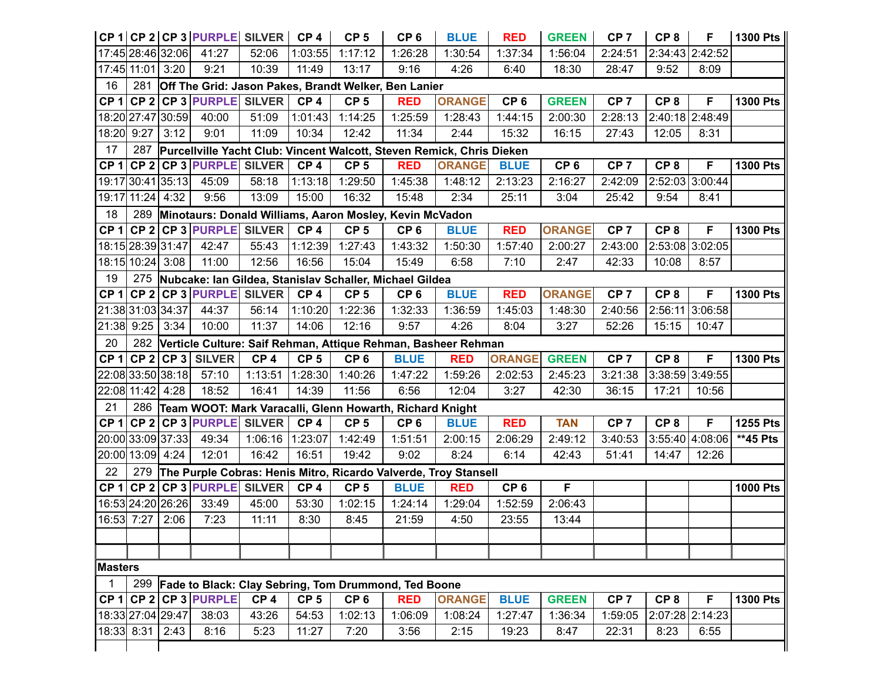|                 |                   |                                                             | CP 1 CP 2 CP 3 PURPLE SILVER                                              |                 | CP <sub>4</sub> | CP <sub>5</sub>                                              | CP <sub>6</sub> | <b>BLUE</b>                                                       | <b>RED</b>      | <b>GREEN</b>    | CP <sub>7</sub> | CP <sub>8</sub> | F                 | 1300 Pts        |
|-----------------|-------------------|-------------------------------------------------------------|---------------------------------------------------------------------------|-----------------|-----------------|--------------------------------------------------------------|-----------------|-------------------------------------------------------------------|-----------------|-----------------|-----------------|-----------------|-------------------|-----------------|
|                 | 17:45 28:46 32:06 |                                                             | 41:27                                                                     | 52:06           | 1:03:55         | 1:17:12                                                      | 1:26:28         | 1:30:54                                                           | 1:37:34         | 1:56:04         | 2:24:51         |                 | 2:34:43 2:42:52   |                 |
|                 | 17:45 11:01 3:20  |                                                             | 9:21                                                                      | 10:39           | 11:49           | 13:17                                                        | 9:16            | 4:26                                                              | 6:40            | 18:30           | 28:47           | 9:52            | 8:09              |                 |
| 16              | 281               | Off The Grid: Jason Pakes, Brandt Welker, Ben Lanier        |                                                                           |                 |                 |                                                              |                 |                                                                   |                 |                 |                 |                 |                   |                 |
| CP <sub>1</sub> |                   |                                                             | CP 2 CP 3 PURPLE SILVER                                                   |                 | CP <sub>4</sub> | CP <sub>5</sub>                                              | <b>RED</b>      | <b>ORANGE</b>                                                     | CP <sub>6</sub> | <b>GREEN</b>    | CP <sub>7</sub> | CP <sub>8</sub> | F                 | <b>1300 Pts</b> |
|                 | 18:20 27:47 30:59 |                                                             | 40:00                                                                     | 51:09           | 1:01:43         | 1:14:25                                                      | 1:25:59         | 1:28:43                                                           | 1:44:15         | 2:00:30         | 2:28:13         |                 | 2:40:18 2:48:49   |                 |
|                 | 18:20 9:27        | 3:12                                                        | 9:01                                                                      | 11:09           | 10:34           | 12:42                                                        | 11:34           | 2:44                                                              | 15:32           | 16:15           | 27:43           | 12:05           | 8:31              |                 |
| 17              |                   |                                                             | 287 Purcellville Yacht Club: Vincent Walcott, Steven Remick, Chris Dieken |                 |                 |                                                              |                 |                                                                   |                 |                 |                 |                 |                   |                 |
| CP <sub>1</sub> |                   |                                                             | CP 2 CP 3 PURPLE SILVER                                                   |                 | CP <sub>4</sub> | CP <sub>5</sub>                                              | <b>RED</b>      | <b>ORANGE</b>                                                     | <b>BLUE</b>     | CP <sub>6</sub> | CP <sub>7</sub> | CP <sub>8</sub> | F                 | <b>1300 Pts</b> |
|                 | 19:17 30:41 35:13 |                                                             | 45:09                                                                     | 58:18           | 1:13:18         | 1:29:50                                                      | 1:45:38         | 1:48:12                                                           | 2:13:23         | 2:16:27         | 2:42:09         |                 | 2:52:03 3:00:44   |                 |
|                 | 19:17 11:24 4:32  |                                                             | 9:56                                                                      | 13:09           | 15:00           | 16:32                                                        | 15:48           | 2:34                                                              | 25:11           | 3:04            | 25:42           | 9:54            | 8:41              |                 |
| 18              |                   | 289 Minotaurs: Donald Williams, Aaron Mosley, Kevin McVadon |                                                                           |                 |                 |                                                              |                 |                                                                   |                 |                 |                 |                 |                   |                 |
| CP <sub>1</sub> |                   |                                                             | CP 2 CP 3 PURPLE SILVER                                                   |                 | CP <sub>4</sub> | CP <sub>5</sub>                                              | CP <sub>6</sub> | <b>BLUE</b>                                                       | <b>RED</b>      | <b>ORANGE</b>   | CP <sub>7</sub> | CP <sub>8</sub> | F                 | <b>1300 Pts</b> |
|                 | 18:15 28:39 31:47 |                                                             | 42:47                                                                     | 55:43           | 1:12:39         | 1:27:43                                                      | 1:43:32         | 1:50:30                                                           | 1:57:40         | 2:00:27         | 2:43:00         |                 | 2:53:08 3:02:05   |                 |
|                 | 18:15 10:24 3:08  |                                                             | 11:00                                                                     | 12:56           | 16:56           | 15:04                                                        | 15:49           | 6:58                                                              | 7:10            | 2:47            | 42:33           | 10:08           | 8:57              |                 |
| 19              |                   | 275 Nubcake: Ian Gildea, Stanislav Schaller, Michael Gildea |                                                                           |                 |                 |                                                              |                 |                                                                   |                 |                 |                 |                 |                   |                 |
| CP <sub>1</sub> |                   |                                                             | $CP$ 2 CP 3 PURPLE                                                        | <b>SILVER</b>   | CP <sub>4</sub> | CP <sub>5</sub>                                              | CP <sub>6</sub> | <b>BLUE</b>                                                       | <b>RED</b>      | <b>ORANGE</b>   | CP <sub>7</sub> | CP <sub>8</sub> | F                 | <b>1300 Pts</b> |
|                 | 21:38 31:03 34:37 |                                                             | 44:37                                                                     | 56:14           | 1:10:20         | 1:22:36                                                      | 1:32:33         | 1:36:59                                                           | 1:45:03         | 1:48:30         | 2:40:56         |                 | 2:56:11 3:06:58   |                 |
|                 | 21:38 9:25        | 3:34                                                        | 10:00                                                                     | 11:37           | 14:06           | 12:16                                                        | 9:57            | 4:26                                                              | 8:04            | 3:27            | 52:26           | 15:15           | 10:47             |                 |
| 20              |                   |                                                             |                                                                           |                 |                 |                                                              |                 | 282 Verticle Culture: Saif Rehman, Attique Rehman, Basheer Rehman |                 |                 |                 |                 |                   |                 |
| CP <sub>1</sub> |                   |                                                             | $ CP 2 CP 3 $ SILVER                                                      | CP <sub>4</sub> | CP <sub>5</sub> | CP <sub>6</sub>                                              | <b>BLUE</b>     | <b>RED</b>                                                        | <b>ORANGE</b>   | <b>GREEN</b>    | CP <sub>7</sub> | CP <sub>8</sub> | F                 | <b>1300 Pts</b> |
|                 | 22:08 33:50 38:18 |                                                             | 57:10                                                                     | 1:13:51         | 1:28:30         | 1:40:26                                                      | 1:47:22         | 1:59:26                                                           | 2:02:53         | 2:45:23         | 3:21:38         |                 | 3:38:59 3:49:55   |                 |
|                 | 22:08 11:42 4:28  |                                                             | 18:52                                                                     | 16:41           | 14:39           | 11:56                                                        | 6:56            | 12:04                                                             | 3:27            | 42:30           | 36:15           | 17:21           | 10:56             |                 |
| 21              |                   |                                                             |                                                                           |                 |                 | 286 Team WOOT: Mark Varacalli, Glenn Howarth, Richard Knight |                 |                                                                   |                 |                 |                 |                 |                   |                 |
| CP <sub>1</sub> |                   |                                                             | CP 2 CP 3 PURPLE SILVER                                                   |                 | CP <sub>4</sub> | CP <sub>5</sub>                                              | CP <sub>6</sub> | <b>BLUE</b>                                                       | <b>RED</b>      | <b>TAN</b>      | CP <sub>7</sub> | CP <sub>8</sub> | F                 | <b>1255 Pts</b> |
|                 | 20:00 33:09 37:33 |                                                             | 49:34                                                                     | 1:06:16         | 1:23:07         | 1:42:49                                                      | 1:51:51         | 2:00:15                                                           | 2:06:29         | 2:49:12         | 3:40:53         |                 | $3:55:40$ 4:08:06 | $**$ 45 Pts     |
|                 | 20:00 13:09 4:24  |                                                             | 12:01                                                                     | 16:42           | 16:51           | 19:42                                                        | 9:02            | 8:24                                                              | 6:14            | 42:43           | 51:41           | 14:47           | 12:26             |                 |
| 22              | 279               |                                                             |                                                                           |                 |                 |                                                              |                 | The Purple Cobras: Henis Mitro, Ricardo Valverde, Troy Stansell   |                 |                 |                 |                 |                   |                 |
| CP <sub>1</sub> |                   |                                                             | CP 2 CP 3 PURPLE SILVER                                                   |                 | CP <sub>4</sub> | CP <sub>5</sub>                                              | <b>BLUE</b>     | <b>RED</b>                                                        | CP <sub>6</sub> | F               |                 |                 |                   | <b>1000 Pts</b> |
|                 | 16:53 24:20 26:26 |                                                             | 33:49                                                                     | 45:00           | 53:30           | 1:02:15                                                      | 1:24:14         | 1:29:04                                                           | 1:52:59         | 2:06:43         |                 |                 |                   |                 |
|                 | 16:53 7:27        | 2:06                                                        | 7:23                                                                      | 11:11           | 8:30            | 8:45                                                         | 21:59           | 4:50                                                              | 23:55           | 13:44           |                 |                 |                   |                 |
|                 |                   |                                                             |                                                                           |                 |                 |                                                              |                 |                                                                   |                 |                 |                 |                 |                   |                 |
|                 |                   |                                                             |                                                                           |                 |                 |                                                              |                 |                                                                   |                 |                 |                 |                 |                   |                 |
| Masters         |                   |                                                             |                                                                           |                 |                 |                                                              |                 |                                                                   |                 |                 |                 |                 |                   |                 |
|                 | 299               |                                                             |                                                                           |                 |                 | Fade to Black: Clay Sebring, Tom Drummond, Ted Boone         |                 |                                                                   |                 |                 |                 |                 |                   |                 |
|                 |                   |                                                             | CP 1 CP 2 CP 3 PURPLE                                                     | CP <sub>4</sub> | CP <sub>5</sub> | CP <sub>6</sub>                                              | <b>RED</b>      | <b>ORANGE</b>                                                     | <b>BLUE</b>     | <b>GREEN</b>    | CP <sub>7</sub> | CP <sub>8</sub> | F                 | <b>1300 Pts</b> |
|                 | 18:33 27:04 29:47 |                                                             | 38:03                                                                     | 43:26           | 54:53           | 1:02:13                                                      | 1:06:09         | 1:08:24                                                           | 1:27:47         | 1:36:34         | 1:59:05         |                 | 2:07:28 2:14:23   |                 |
|                 | 18:33 8:31        | 2:43                                                        | 8:16                                                                      | 5:23            | 11:27           | 7:20                                                         | 3:56            | 2:15                                                              | 19:23           | 8:47            | 22:31           | 8:23            | 6:55              |                 |
|                 |                   |                                                             |                                                                           |                 |                 |                                                              |                 |                                                                   |                 |                 |                 |                 |                   |                 |